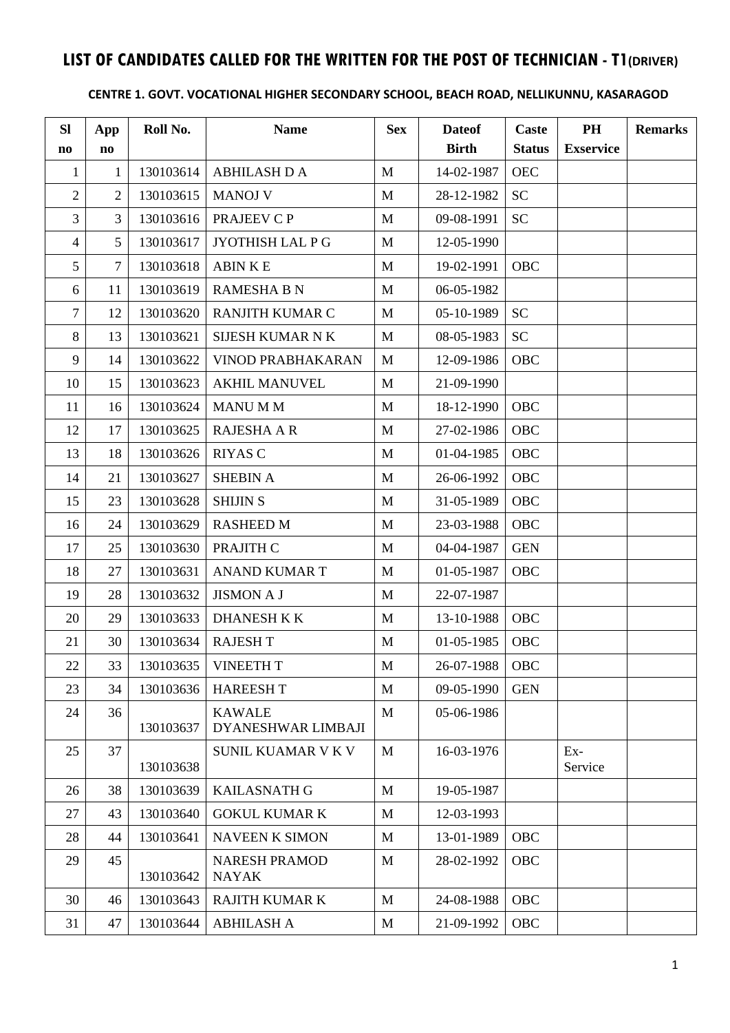# **LIST OF CANDIDATES CALLED FOR THE WRITTEN FOR THE POST OF TECHNICIAN - T1(DRIVER)**

### **CENTRE 1. GOVT. VOCATIONAL HIGHER SECONDARY SCHOOL, BEACH ROAD, NELLIKUNNU, KASARAGOD**

| <b>SI</b><br>$\mathbf{n}\mathbf{o}$ | App<br>n <sub>0</sub> | Roll No.  | <b>Name</b>                          | <b>Sex</b>   | <b>Dateof</b><br><b>Birth</b> | <b>Caste</b><br><b>Status</b> | PH<br><b>Exservice</b> | <b>Remarks</b> |
|-------------------------------------|-----------------------|-----------|--------------------------------------|--------------|-------------------------------|-------------------------------|------------------------|----------------|
| $\mathbf{1}$                        | 1                     | 130103614 | <b>ABHILASH D A</b>                  | $\mathbf{M}$ | 14-02-1987                    | <b>OEC</b>                    |                        |                |
| $\mathbf{2}$                        | $\overline{2}$        | 130103615 | <b>MANOJ V</b>                       | M            |                               | <b>SC</b>                     |                        |                |
| $\overline{3}$                      | 3                     |           |                                      |              | 28-12-1982                    |                               |                        |                |
|                                     |                       | 130103616 | PRAJEEV C P                          | M            | 09-08-1991                    | <b>SC</b>                     |                        |                |
| $\overline{4}$                      | 5                     | 130103617 | JYOTHISH LAL P G                     | M            | 12-05-1990                    |                               |                        |                |
| 5                                   | 7                     | 130103618 | <b>ABINKE</b>                        | M            | 19-02-1991                    | OBC                           |                        |                |
| 6                                   | 11                    | 130103619 | <b>RAMESHA B N</b>                   | M            | 06-05-1982                    |                               |                        |                |
| 7                                   | 12                    | 130103620 | RANJITH KUMAR C                      | M            | 05-10-1989                    | <b>SC</b>                     |                        |                |
| 8                                   | 13                    | 130103621 | <b>SIJESH KUMAR N K</b>              | M            | 08-05-1983                    | <b>SC</b>                     |                        |                |
| 9                                   | 14                    | 130103622 | <b>VINOD PRABHAKARAN</b>             | $\mathbf M$  | 12-09-1986                    | OBC                           |                        |                |
| 10                                  | 15                    | 130103623 | <b>AKHIL MANUVEL</b>                 | $\mathbf{M}$ | 21-09-1990                    |                               |                        |                |
| 11                                  | 16                    | 130103624 | <b>MANU MM</b>                       | M            | 18-12-1990                    | OBC                           |                        |                |
| 12                                  | 17                    | 130103625 | RAJESHA A R                          | M            | 27-02-1986                    | OBC                           |                        |                |
| 13                                  | 18                    | 130103626 | <b>RIYAS C</b>                       | M            | 01-04-1985                    | OBC                           |                        |                |
| 14                                  | 21                    | 130103627 | <b>SHEBIN A</b>                      | $\mathbf M$  | 26-06-1992                    | OBC                           |                        |                |
| 15                                  | 23                    | 130103628 | <b>SHIJIN S</b>                      | $\mathbf{M}$ | 31-05-1989                    | OBC                           |                        |                |
| 16                                  | 24                    | 130103629 | <b>RASHEED M</b>                     | $\mathbf{M}$ | 23-03-1988                    | OBC                           |                        |                |
| 17                                  | 25                    | 130103630 | PRAJITH C                            | M            | 04-04-1987                    | <b>GEN</b>                    |                        |                |
| 18                                  | 27                    | 130103631 | ANAND KUMAR T                        | M            | 01-05-1987                    | OBC                           |                        |                |
| 19                                  | 28                    | 130103632 | <b>JISMON A J</b>                    | $\mathbf M$  | 22-07-1987                    |                               |                        |                |
| 20                                  | 29                    | 130103633 | <b>DHANESH K K</b>                   | $\mathbf{M}$ | 13-10-1988                    | OBC                           |                        |                |
| 21                                  | 30                    | 130103634 | <b>RAJESH T</b>                      | M            | 01-05-1985                    | OBC                           |                        |                |
| 22                                  | 33                    | 130103635 | <b>VINEETH T</b>                     | M            | 26-07-1988                    | OBC                           |                        |                |
| 23                                  | 34                    | 130103636 | <b>HAREESHT</b>                      | M            | 09-05-1990                    | <b>GEN</b>                    |                        |                |
| 24                                  | 36                    |           | <b>KAWALE</b>                        | M            | 05-06-1986                    |                               |                        |                |
|                                     |                       | 130103637 | DYANESHWAR LIMBAJI                   |              |                               |                               |                        |                |
| 25                                  | 37                    | 130103638 | <b>SUNIL KUAMAR V K V</b>            | $\mathbf{M}$ | 16-03-1976                    |                               | $Ex-$<br>Service       |                |
| 26                                  | 38                    | 130103639 | <b>KAILASNATH G</b>                  | M            | 19-05-1987                    |                               |                        |                |
| 27                                  | 43                    | 130103640 | <b>GOKUL KUMAR K</b>                 | M            | 12-03-1993                    |                               |                        |                |
| 28                                  | 44                    | 130103641 | <b>NAVEEN K SIMON</b>                | M            | 13-01-1989                    | OBC                           |                        |                |
| 29                                  | 45                    | 130103642 | <b>NARESH PRAMOD</b><br><b>NAYAK</b> | M            | 28-02-1992                    | OBC                           |                        |                |
| 30                                  | 46                    | 130103643 | <b>RAJITH KUMAR K</b>                | M            | 24-08-1988                    | OBC                           |                        |                |
| 31                                  | 47                    | 130103644 | <b>ABHILASH A</b>                    | M            | 21-09-1992                    | OBC                           |                        |                |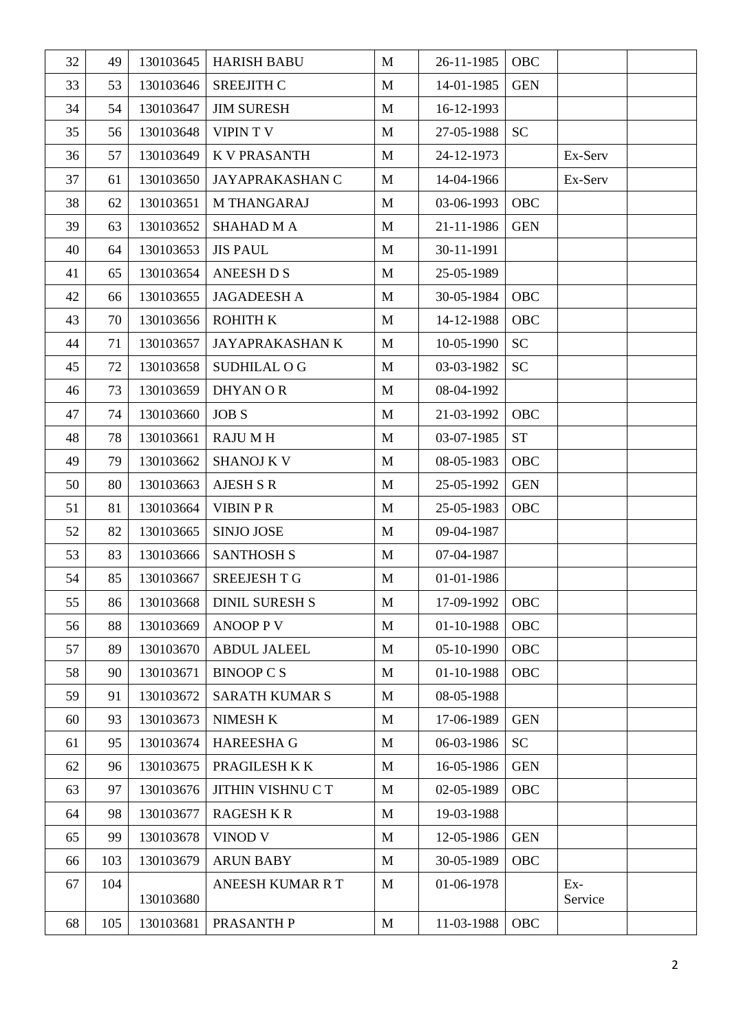| 32 | 49  | 130103645 | <b>HARISH BABU</b>      | $\mathbf M$  | 26-11-1985 | OBC                |                  |  |
|----|-----|-----------|-------------------------|--------------|------------|--------------------|------------------|--|
| 33 | 53  | 130103646 | <b>SREEJITH C</b>       | M            | 14-01-1985 | <b>GEN</b>         |                  |  |
| 34 | 54  | 130103647 | <b>JIM SURESH</b>       | $\mathbf{M}$ | 16-12-1993 |                    |                  |  |
| 35 | 56  | 130103648 | <b>VIPINTV</b>          | M            | 27-05-1988 | <b>SC</b>          |                  |  |
| 36 | 57  | 130103649 | <b>K V PRASANTH</b>     | $\mathbf{M}$ | 24-12-1973 |                    | Ex-Serv          |  |
| 37 | 61  | 130103650 | JAYAPRAKASHAN C         | $\mathbf{M}$ | 14-04-1966 |                    | Ex-Serv          |  |
| 38 | 62  | 130103651 | M THANGARAJ             | M            | 03-06-1993 | <b>OBC</b>         |                  |  |
| 39 | 63  | 130103652 | <b>SHAHAD M A</b>       | M            | 21-11-1986 | <b>GEN</b>         |                  |  |
| 40 | 64  | 130103653 | <b>JIS PAUL</b>         | M            | 30-11-1991 |                    |                  |  |
| 41 | 65  | 130103654 | <b>ANEESH D S</b>       | M            | 25-05-1989 |                    |                  |  |
| 42 | 66  | 130103655 | <b>JAGADEESH A</b>      | M            | 30-05-1984 | OBC                |                  |  |
| 43 | 70  | 130103656 | <b>ROHITH K</b>         | M            | 14-12-1988 | OBC                |                  |  |
| 44 | 71  | 130103657 | <b>JAYAPRAKASHAN K</b>  | M            | 10-05-1990 | <b>SC</b>          |                  |  |
| 45 | 72  | 130103658 | <b>SUDHILAL O G</b>     | M            | 03-03-1982 | <b>SC</b>          |                  |  |
| 46 | 73  | 130103659 | DHYAN OR                | M            | 08-04-1992 |                    |                  |  |
| 47 | 74  | 130103660 | <b>JOB S</b>            | $\mathbf{M}$ | 21-03-1992 | OBC                |                  |  |
| 48 | 78  | 130103661 | <b>RAJUMH</b>           | M            | 03-07-1985 | ${\cal S}{\cal T}$ |                  |  |
| 49 | 79  | 130103662 | <b>SHANOJ K V</b>       | M            | 08-05-1983 | OBC                |                  |  |
| 50 | 80  | 130103663 | <b>AJESH S R</b>        | M            | 25-05-1992 | <b>GEN</b>         |                  |  |
| 51 | 81  | 130103664 | <b>VIBIN PR</b>         | M            | 25-05-1983 | OBC                |                  |  |
| 52 | 82  | 130103665 | <b>SINJO JOSE</b>       | $\mathbf M$  | 09-04-1987 |                    |                  |  |
| 53 | 83  | 130103666 | <b>SANTHOSH S</b>       | M            | 07-04-1987 |                    |                  |  |
| 54 | 85  | 130103667 | <b>SREEJESH T G</b>     | M            | 01-01-1986 |                    |                  |  |
| 55 | 86  | 130103668 | DINIL SURESH S          | M            | 17-09-1992 | <b>OBC</b>         |                  |  |
| 56 | 88  | 130103669 | <b>ANOOP P V</b>        | $\mathbf{M}$ | 01-10-1988 | OBC                |                  |  |
| 57 | 89  | 130103670 | <b>ABDUL JALEEL</b>     | $\mathbf{M}$ | 05-10-1990 | OBC                |                  |  |
| 58 | 90  | 130103671 | <b>BINOOP C S</b>       | M            | 01-10-1988 | OBC                |                  |  |
| 59 | 91  | 130103672 | <b>SARATH KUMAR S</b>   | M            | 08-05-1988 |                    |                  |  |
| 60 | 93  | 130103673 | <b>NIMESH K</b>         | M            | 17-06-1989 | <b>GEN</b>         |                  |  |
| 61 | 95  | 130103674 | <b>HAREESHA G</b>       | M            | 06-03-1986 | <b>SC</b>          |                  |  |
| 62 | 96  | 130103675 | PRAGILESH K K           | M            | 16-05-1986 | <b>GEN</b>         |                  |  |
| 63 | 97  | 130103676 | JITHIN VISHNU C T       | $\mathbf{M}$ | 02-05-1989 | OBC                |                  |  |
| 64 | 98  | 130103677 | <b>RAGESH K R</b>       | M            | 19-03-1988 |                    |                  |  |
| 65 | 99  | 130103678 | VINOD V                 | M            | 12-05-1986 | <b>GEN</b>         |                  |  |
| 66 | 103 | 130103679 | <b>ARUN BABY</b>        | M            | 30-05-1989 | <b>OBC</b>         |                  |  |
| 67 | 104 | 130103680 | <b>ANEESH KUMAR R T</b> | M            | 01-06-1978 |                    | $Ex-$<br>Service |  |
| 68 | 105 | 130103681 | PRASANTH P              | $\mathbf{M}$ | 11-03-1988 | OBC                |                  |  |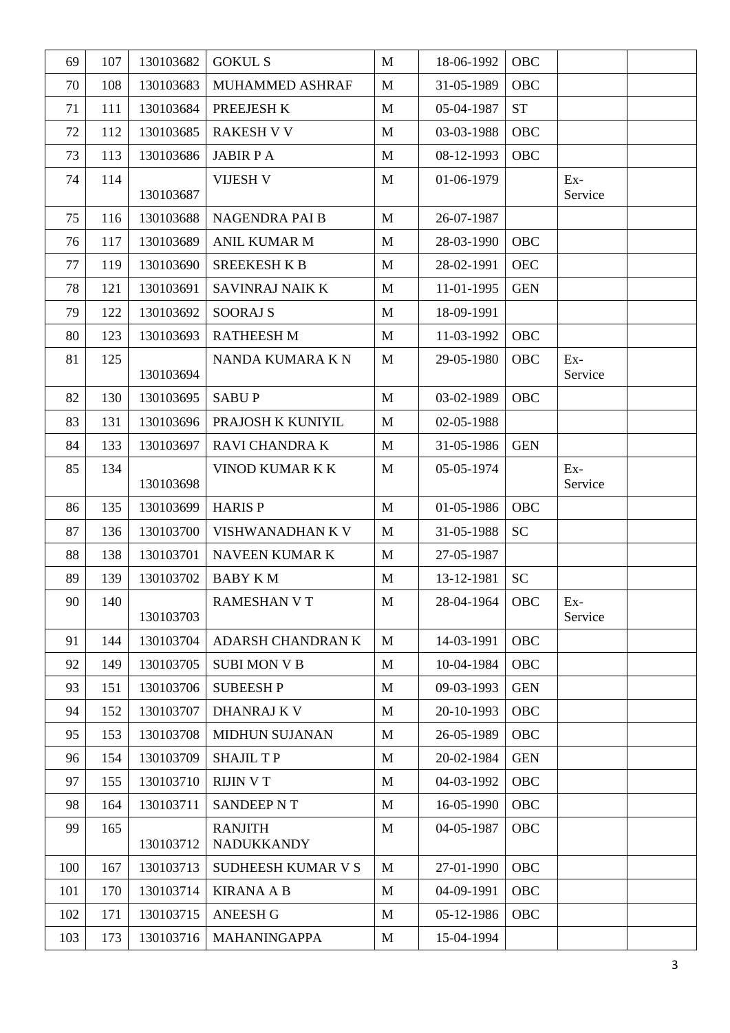| 69  | 107 | 130103682 | <b>GOKUL S</b>                      | $\mathbf{M}$ | 18-06-1992 | OBC        |                  |  |
|-----|-----|-----------|-------------------------------------|--------------|------------|------------|------------------|--|
| 70  | 108 | 130103683 | <b>MUHAMMED ASHRAF</b>              | M            | 31-05-1989 | OBC        |                  |  |
| 71  | 111 | 130103684 | PREEJESH K                          | M            | 05-04-1987 | <b>ST</b>  |                  |  |
| 72  | 112 | 130103685 | <b>RAKESH V V</b>                   | M            | 03-03-1988 | OBC        |                  |  |
| 73  | 113 | 130103686 | <b>JABIR PA</b>                     | $\mathbf{M}$ | 08-12-1993 | OBC        |                  |  |
| 74  | 114 | 130103687 | <b>VIJESH V</b>                     | M            | 01-06-1979 |            | $Ex-$<br>Service |  |
| 75  | 116 | 130103688 | NAGENDRA PAI B                      | M            | 26-07-1987 |            |                  |  |
| 76  | 117 | 130103689 | <b>ANIL KUMAR M</b>                 | M            | 28-03-1990 | OBC        |                  |  |
| 77  | 119 | 130103690 | <b>SREEKESH K B</b>                 | M            | 28-02-1991 | <b>OEC</b> |                  |  |
| 78  | 121 | 130103691 | SAVINRAJ NAIK K                     | $\mathbf{M}$ | 11-01-1995 | <b>GEN</b> |                  |  |
| 79  | 122 | 130103692 | <b>SOORAJ S</b>                     | $\mathbf{M}$ | 18-09-1991 |            |                  |  |
| 80  | 123 | 130103693 | <b>RATHEESH M</b>                   | M            | 11-03-1992 | OBC        |                  |  |
| 81  | 125 | 130103694 | NANDA KUMARA KN                     | M            | 29-05-1980 | OBC        | $Ex-$<br>Service |  |
| 82  | 130 | 130103695 | <b>SABUP</b>                        | M            | 03-02-1989 | OBC        |                  |  |
| 83  | 131 | 130103696 | PRAJOSH K KUNIYIL                   | $\mathbf{M}$ | 02-05-1988 |            |                  |  |
| 84  | 133 | 130103697 | RAVI CHANDRA K                      | $\mathbf M$  | 31-05-1986 | <b>GEN</b> |                  |  |
| 85  | 134 | 130103698 | VINOD KUMAR K K                     | M            | 05-05-1974 |            | Ex-<br>Service   |  |
| 86  | 135 | 130103699 | <b>HARISP</b>                       | $\mathbf{M}$ | 01-05-1986 | <b>OBC</b> |                  |  |
| 87  | 136 | 130103700 | VISHWANADHAN K V                    | M            | 31-05-1988 | <b>SC</b>  |                  |  |
| 88  | 138 | 130103701 | NAVEEN KUMAR K                      | M            | 27-05-1987 |            |                  |  |
| 89  | 139 | 130103702 | <b>BABY KM</b>                      | M            | 13-12-1981 | <b>SC</b>  |                  |  |
| 90  | 140 | 130103703 | <b>RAMESHAN V T</b>                 | $\mathbf M$  | 28-04-1964 | OBC        | Ex-<br>Service   |  |
| 91  | 144 | 130103704 | ADARSH CHANDRAN K                   | M            | 14-03-1991 | OBC        |                  |  |
| 92  | 149 | 130103705 | <b>SUBI MON V B</b>                 | $\mathbf{M}$ | 10-04-1984 | OBC        |                  |  |
| 93  | 151 | 130103706 | <b>SUBEESHP</b>                     | M            | 09-03-1993 | <b>GEN</b> |                  |  |
| 94  | 152 | 130103707 | <b>DHANRAJ K V</b>                  | M            | 20-10-1993 | OBC        |                  |  |
| 95  | 153 | 130103708 | <b>MIDHUN SUJANAN</b>               | M            | 26-05-1989 | OBC        |                  |  |
| 96  | 154 | 130103709 | <b>SHAJIL TP</b>                    | M            | 20-02-1984 | <b>GEN</b> |                  |  |
| 97  | 155 | 130103710 | <b>RIJIN V T</b>                    | $\mathbf{M}$ | 04-03-1992 | OBC        |                  |  |
| 98  | 164 | 130103711 | <b>SANDEEP NT</b>                   | $\mathbf{M}$ | 16-05-1990 | OBC        |                  |  |
| 99  | 165 | 130103712 | <b>RANJITH</b><br><b>NADUKKANDY</b> | M            | 04-05-1987 | OBC        |                  |  |
| 100 | 167 | 130103713 | <b>SUDHEESH KUMAR V S</b>           | M            | 27-01-1990 | <b>OBC</b> |                  |  |
| 101 | 170 | 130103714 | <b>KIRANA A B</b>                   | M            | 04-09-1991 | OBC        |                  |  |
| 102 | 171 | 130103715 | <b>ANEESH G</b>                     | M            | 05-12-1986 | OBC        |                  |  |
| 103 | 173 | 130103716 | <b>MAHANINGAPPA</b>                 | M            | 15-04-1994 |            |                  |  |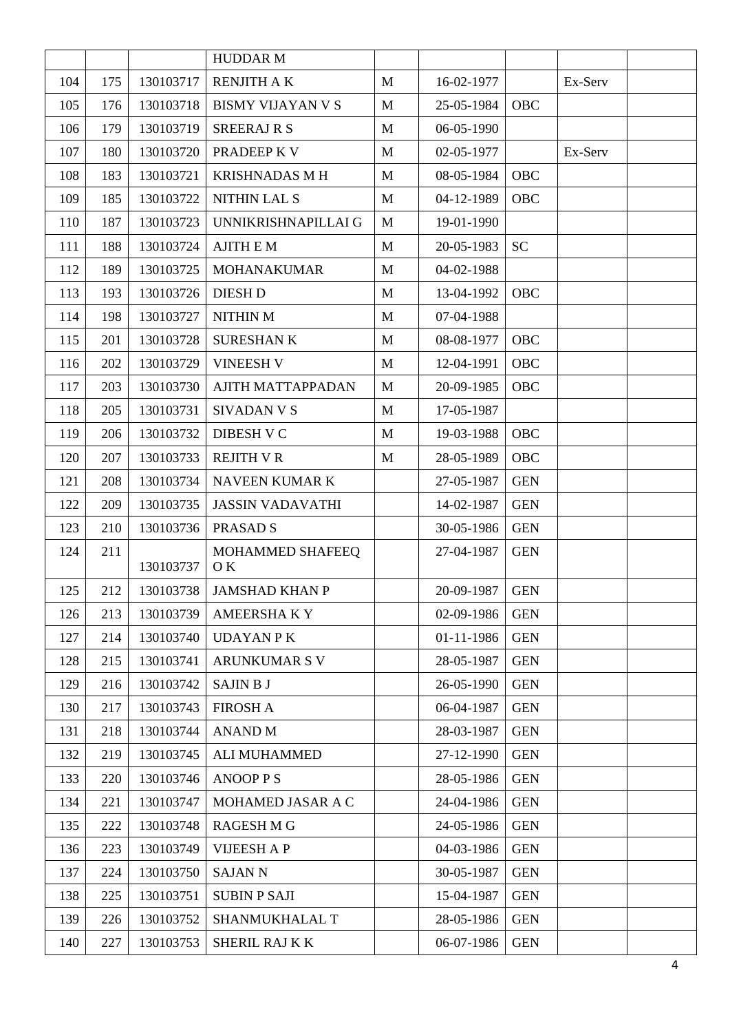|     |     |           | <b>HUDDAR M</b>          |              |            |            |         |  |
|-----|-----|-----------|--------------------------|--------------|------------|------------|---------|--|
| 104 | 175 | 130103717 | <b>RENJITH AK</b>        | $\mathbf{M}$ | 16-02-1977 |            | Ex-Serv |  |
| 105 | 176 | 130103718 | <b>BISMY VIJAYAN V S</b> | $\mathbf{M}$ | 25-05-1984 | OBC        |         |  |
| 106 | 179 | 130103719 | <b>SREERAJ R S</b>       | M            | 06-05-1990 |            |         |  |
| 107 | 180 | 130103720 | PRADEEP K V              | M            | 02-05-1977 |            | Ex-Serv |  |
| 108 | 183 | 130103721 | <b>KRISHNADAS M H</b>    | $\mathbf{M}$ | 08-05-1984 | OBC        |         |  |
| 109 | 185 | 130103722 | <b>NITHIN LAL S</b>      | $\mathbf{M}$ | 04-12-1989 | OBC        |         |  |
| 110 | 187 | 130103723 | UNNIKRISHNAPILLAI G      | M            | 19-01-1990 |            |         |  |
| 111 | 188 | 130103724 | <b>AJITH E M</b>         | M            | 20-05-1983 | <b>SC</b>  |         |  |
| 112 | 189 | 130103725 | <b>MOHANAKUMAR</b>       | $\mathbf{M}$ | 04-02-1988 |            |         |  |
| 113 | 193 | 130103726 | <b>DIESH D</b>           | M            | 13-04-1992 | OBC        |         |  |
| 114 | 198 | 130103727 | NITHIN M                 | $\mathbf{M}$ | 07-04-1988 |            |         |  |
| 115 | 201 | 130103728 | <b>SURESHANK</b>         | $\mathbf{M}$ | 08-08-1977 | <b>OBC</b> |         |  |
| 116 | 202 | 130103729 | <b>VINEESH V</b>         | $\mathbf{M}$ | 12-04-1991 | OBC        |         |  |
| 117 | 203 | 130103730 | <b>AJITH MATTAPPADAN</b> | $\mathbf M$  | 20-09-1985 | OBC        |         |  |
| 118 | 205 | 130103731 | <b>SIVADAN V S</b>       | $\mathbf{M}$ | 17-05-1987 |            |         |  |
| 119 | 206 | 130103732 | <b>DIBESH V C</b>        | $\mathbf{M}$ | 19-03-1988 | OBC        |         |  |
| 120 | 207 | 130103733 | <b>REJITH V R</b>        | $\mathbf{M}$ | 28-05-1989 | OBC        |         |  |
| 121 | 208 | 130103734 | NAVEEN KUMAR K           |              | 27-05-1987 | <b>GEN</b> |         |  |
| 122 | 209 | 130103735 | <b>JASSIN VADAVATHI</b>  |              | 14-02-1987 | <b>GEN</b> |         |  |
| 123 | 210 | 130103736 | PRASAD <sub>S</sub>      |              | 30-05-1986 | <b>GEN</b> |         |  |
| 124 | 211 | 130103737 | MOHAMMED SHAFEEQ<br>OK.  |              | 27-04-1987 | <b>GEN</b> |         |  |
| 125 | 212 | 130103738 | <b>JAMSHAD KHAN P</b>    |              | 20-09-1987 | <b>GEN</b> |         |  |
| 126 | 213 | 130103739 | <b>AMEERSHAKY</b>        |              | 02-09-1986 | <b>GEN</b> |         |  |
| 127 | 214 | 130103740 | <b>UDAYAN P K</b>        |              | 01-11-1986 | <b>GEN</b> |         |  |
| 128 | 215 | 130103741 | <b>ARUNKUMAR S V</b>     |              | 28-05-1987 | <b>GEN</b> |         |  |
| 129 | 216 | 130103742 | SAJIN B J                |              | 26-05-1990 | <b>GEN</b> |         |  |
| 130 | 217 | 130103743 | <b>FIROSH A</b>          |              | 06-04-1987 | <b>GEN</b> |         |  |
| 131 | 218 | 130103744 | <b>ANAND M</b>           |              | 28-03-1987 | <b>GEN</b> |         |  |
| 132 | 219 | 130103745 | <b>ALI MUHAMMED</b>      |              | 27-12-1990 | <b>GEN</b> |         |  |
| 133 | 220 | 130103746 | <b>ANOOPPS</b>           |              | 28-05-1986 | <b>GEN</b> |         |  |
| 134 | 221 | 130103747 | MOHAMED JASAR A C        |              | 24-04-1986 | <b>GEN</b> |         |  |
| 135 | 222 | 130103748 | <b>RAGESH M G</b>        |              | 24-05-1986 | <b>GEN</b> |         |  |
| 136 | 223 | 130103749 | <b>VIJEESH A P</b>       |              | 04-03-1986 | <b>GEN</b> |         |  |
| 137 | 224 | 130103750 | <b>SAJAN N</b>           |              | 30-05-1987 | <b>GEN</b> |         |  |
| 138 | 225 | 130103751 | <b>SUBIN P SAJI</b>      |              | 15-04-1987 | <b>GEN</b> |         |  |
| 139 | 226 | 130103752 | SHANMUKHALAL T           |              | 28-05-1986 | <b>GEN</b> |         |  |
| 140 | 227 | 130103753 | SHERIL RAJ K K           |              | 06-07-1986 | <b>GEN</b> |         |  |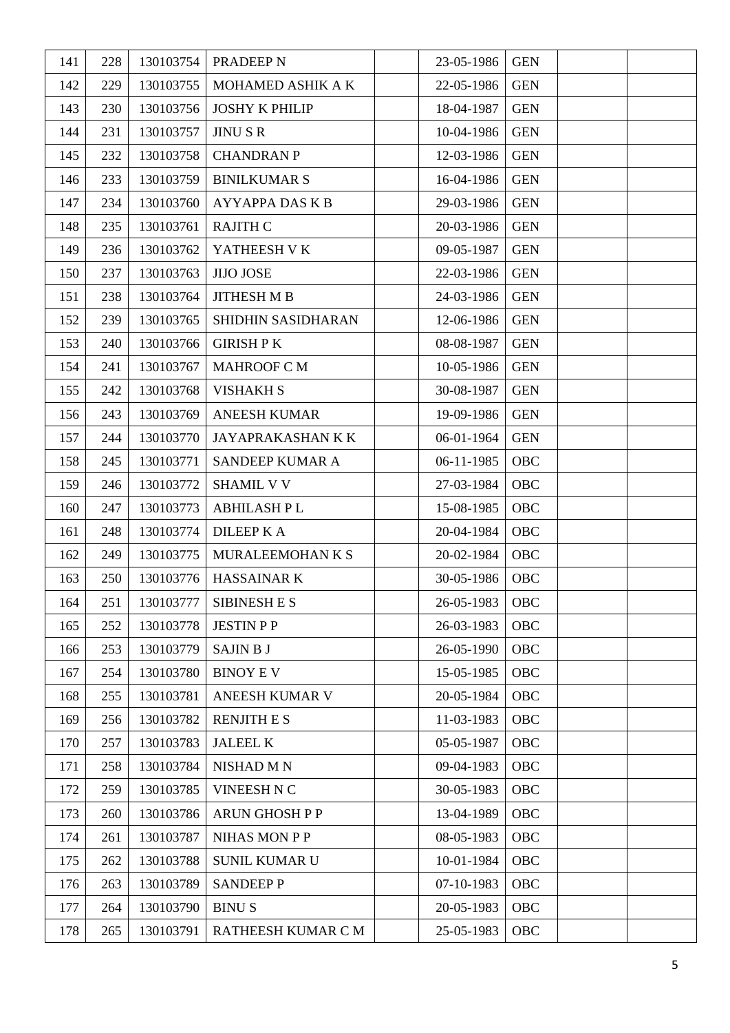| 141 | 228 | 130103754 | PRADEEP N                | 23-05-1986 | <b>GEN</b> |  |
|-----|-----|-----------|--------------------------|------------|------------|--|
| 142 | 229 | 130103755 | MOHAMED ASHIK A K        | 22-05-1986 | <b>GEN</b> |  |
| 143 | 230 | 130103756 | <b>JOSHY K PHILIP</b>    | 18-04-1987 | <b>GEN</b> |  |
| 144 | 231 | 130103757 | <b>JINUSR</b>            | 10-04-1986 | <b>GEN</b> |  |
| 145 | 232 | 130103758 | <b>CHANDRAN P</b>        | 12-03-1986 | <b>GEN</b> |  |
| 146 | 233 | 130103759 | <b>BINILKUMAR S</b>      | 16-04-1986 | <b>GEN</b> |  |
| 147 | 234 | 130103760 | <b>AYYAPPA DAS K B</b>   | 29-03-1986 | <b>GEN</b> |  |
| 148 | 235 | 130103761 | <b>RAJITH C</b>          | 20-03-1986 | <b>GEN</b> |  |
| 149 | 236 | 130103762 | YATHEESH V K             | 09-05-1987 | <b>GEN</b> |  |
| 150 | 237 | 130103763 | <b>JIJO JOSE</b>         | 22-03-1986 | <b>GEN</b> |  |
| 151 | 238 | 130103764 | <b>JITHESH M B</b>       | 24-03-1986 | <b>GEN</b> |  |
| 152 | 239 | 130103765 | SHIDHIN SASIDHARAN       | 12-06-1986 | <b>GEN</b> |  |
| 153 | 240 | 130103766 | <b>GIRISH PK</b>         | 08-08-1987 | <b>GEN</b> |  |
| 154 | 241 | 130103767 | <b>MAHROOF C M</b>       | 10-05-1986 | <b>GEN</b> |  |
| 155 | 242 | 130103768 | <b>VISHAKH S</b>         | 30-08-1987 | <b>GEN</b> |  |
| 156 | 243 | 130103769 | <b>ANEESH KUMAR</b>      | 19-09-1986 | <b>GEN</b> |  |
| 157 | 244 | 130103770 | <b>JAYAPRAKASHAN K K</b> | 06-01-1964 | <b>GEN</b> |  |
| 158 | 245 | 130103771 | SANDEEP KUMAR A          | 06-11-1985 | OBC        |  |
| 159 | 246 | 130103772 | <b>SHAMIL V V</b>        | 27-03-1984 | OBC        |  |
| 160 | 247 | 130103773 | <b>ABHILASH PL</b>       | 15-08-1985 | OBC        |  |
| 161 | 248 | 130103774 | <b>DILEEP KA</b>         | 20-04-1984 | OBC        |  |
| 162 | 249 | 130103775 | MURALEEMOHAN K S         | 20-02-1984 | OBC        |  |
| 163 | 250 | 130103776 | HASSAINAR K              | 30-05-1986 | OBC        |  |
| 164 | 251 | 130103777 | <b>SIBINESH E S</b>      | 26-05-1983 | <b>OBC</b> |  |
| 165 | 252 | 130103778 | <b>JESTIN PP</b>         | 26-03-1983 | OBC        |  |
| 166 | 253 | 130103779 | <b>SAJIN B J</b>         | 26-05-1990 | OBC        |  |
| 167 | 254 | 130103780 | <b>BINOY EV</b>          | 15-05-1985 | OBC        |  |
| 168 | 255 | 130103781 | ANEESH KUMAR V           | 20-05-1984 | OBC        |  |
| 169 | 256 | 130103782 | <b>RENJITH E S</b>       | 11-03-1983 | OBC        |  |
| 170 | 257 | 130103783 | <b>JALEEL K</b>          | 05-05-1987 | OBC        |  |
| 171 | 258 | 130103784 | <b>NISHAD M N</b>        | 09-04-1983 | OBC        |  |
| 172 | 259 | 130103785 | VINEESH N C              | 30-05-1983 | OBC        |  |
| 173 | 260 | 130103786 | <b>ARUN GHOSH P P</b>    | 13-04-1989 | OBC        |  |
| 174 | 261 | 130103787 | <b>NIHAS MON P P</b>     | 08-05-1983 | OBC        |  |
| 175 | 262 | 130103788 | <b>SUNIL KUMAR U</b>     | 10-01-1984 | OBC        |  |
| 176 | 263 | 130103789 | <b>SANDEEP P</b>         | 07-10-1983 | OBC        |  |
| 177 | 264 | 130103790 | <b>BINUS</b>             | 20-05-1983 | OBC        |  |
| 178 | 265 | 130103791 | RATHEESH KUMAR C M       | 25-05-1983 | OBC        |  |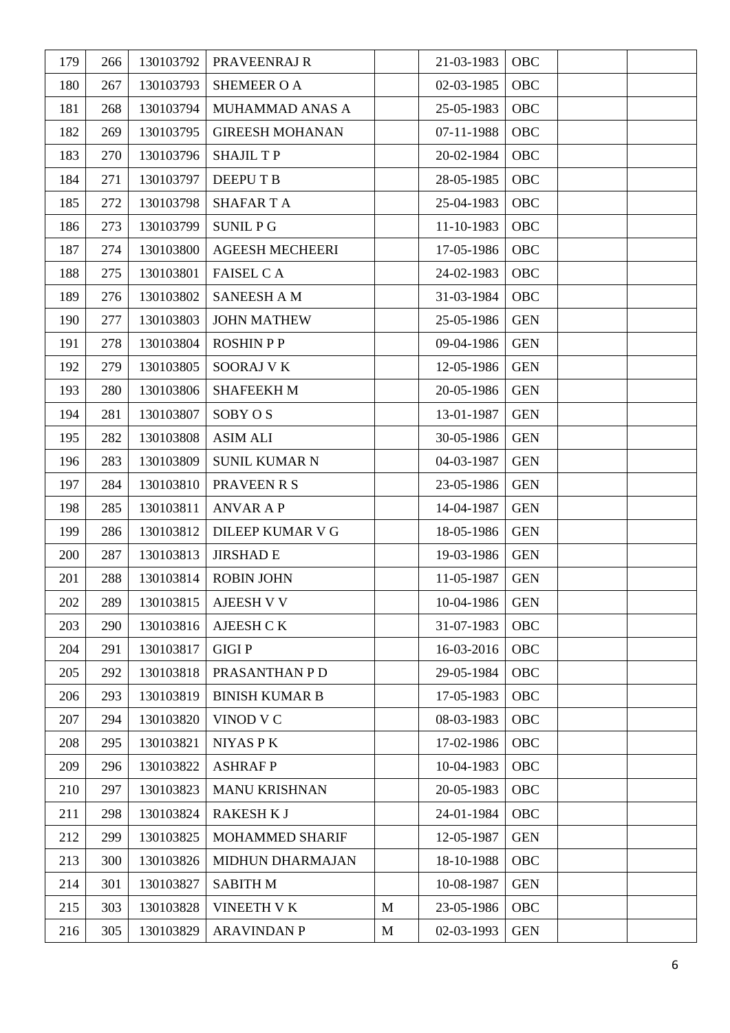| 179 | 266 | 130103792 | PRAVEENRAJ R            |              | 21-03-1983 | OBC        |  |
|-----|-----|-----------|-------------------------|--------------|------------|------------|--|
| 180 | 267 | 130103793 | <b>SHEMEER O A</b>      |              | 02-03-1985 | OBC        |  |
| 181 | 268 | 130103794 | MUHAMMAD ANAS A         |              | 25-05-1983 | OBC        |  |
| 182 | 269 | 130103795 | <b>GIREESH MOHANAN</b>  |              | 07-11-1988 | OBC        |  |
| 183 | 270 | 130103796 | <b>SHAJIL TP</b>        |              | 20-02-1984 | OBC        |  |
| 184 | 271 | 130103797 | DEEPU T B               |              | 28-05-1985 | OBC        |  |
| 185 | 272 | 130103798 | <b>SHAFARTA</b>         |              | 25-04-1983 | OBC        |  |
| 186 | 273 | 130103799 | <b>SUNIL PG</b>         |              | 11-10-1983 | OBC        |  |
| 187 | 274 | 130103800 | <b>AGEESH MECHEERI</b>  |              | 17-05-1986 | OBC        |  |
| 188 | 275 | 130103801 | <b>FAISEL CA</b>        |              | 24-02-1983 | OBC        |  |
| 189 | 276 | 130103802 | <b>SANEESH A M</b>      |              | 31-03-1984 | OBC        |  |
| 190 | 277 | 130103803 | <b>JOHN MATHEW</b>      |              | 25-05-1986 | <b>GEN</b> |  |
| 191 | 278 | 130103804 | <b>ROSHIN PP</b>        |              | 09-04-1986 | <b>GEN</b> |  |
| 192 | 279 | 130103805 | <b>SOORAJ V K</b>       |              | 12-05-1986 | <b>GEN</b> |  |
| 193 | 280 | 130103806 | <b>SHAFEEKHM</b>        |              | 20-05-1986 | <b>GEN</b> |  |
| 194 | 281 | 130103807 | SOBY OS                 |              | 13-01-1987 | <b>GEN</b> |  |
| 195 | 282 | 130103808 | <b>ASIM ALI</b>         |              | 30-05-1986 | <b>GEN</b> |  |
| 196 | 283 | 130103809 | <b>SUNIL KUMAR N</b>    |              | 04-03-1987 | <b>GEN</b> |  |
| 197 | 284 | 130103810 | PRAVEEN R S             |              | 23-05-1986 | <b>GEN</b> |  |
| 198 | 285 | 130103811 | <b>ANVAR A P</b>        |              | 14-04-1987 | <b>GEN</b> |  |
| 199 | 286 | 130103812 | <b>DILEEP KUMAR V G</b> |              | 18-05-1986 | <b>GEN</b> |  |
| 200 | 287 | 130103813 | <b>JIRSHAD E</b>        |              | 19-03-1986 | <b>GEN</b> |  |
| 201 | 288 | 130103814 | <b>ROBIN JOHN</b>       |              | 11-05-1987 | <b>GEN</b> |  |
| 202 | 289 | 130103815 | AJEESH V V              |              | 10-04-1986 | <b>GEN</b> |  |
| 203 | 290 | 130103816 | AJEESH CK               |              | 31-07-1983 | OBC        |  |
| 204 | 291 | 130103817 | <b>GIGIP</b>            |              | 16-03-2016 | OBC        |  |
| 205 | 292 | 130103818 | PRASANTHAN P D          |              | 29-05-1984 | OBC        |  |
| 206 | 293 | 130103819 | <b>BINISH KUMAR B</b>   |              | 17-05-1983 | OBC        |  |
| 207 | 294 | 130103820 | VINOD V C               |              | 08-03-1983 | OBC        |  |
| 208 | 295 | 130103821 | NIYAS P K               |              | 17-02-1986 | OBC        |  |
| 209 | 296 | 130103822 | <b>ASHRAFP</b>          |              | 10-04-1983 | OBC        |  |
| 210 | 297 | 130103823 | <b>MANU KRISHNAN</b>    |              | 20-05-1983 | OBC        |  |
| 211 | 298 | 130103824 | <b>RAKESH KJ</b>        |              | 24-01-1984 | OBC        |  |
| 212 | 299 | 130103825 | <b>MOHAMMED SHARIF</b>  |              | 12-05-1987 | <b>GEN</b> |  |
| 213 | 300 | 130103826 | MIDHUN DHARMAJAN        |              | 18-10-1988 | OBC        |  |
| 214 | 301 | 130103827 | <b>SABITH M</b>         |              | 10-08-1987 | <b>GEN</b> |  |
| 215 | 303 | 130103828 | <b>VINEETH V K</b>      | $\mathbf{M}$ | 23-05-1986 | <b>OBC</b> |  |
| 216 | 305 | 130103829 | <b>ARAVINDAN P</b>      | M            | 02-03-1993 | <b>GEN</b> |  |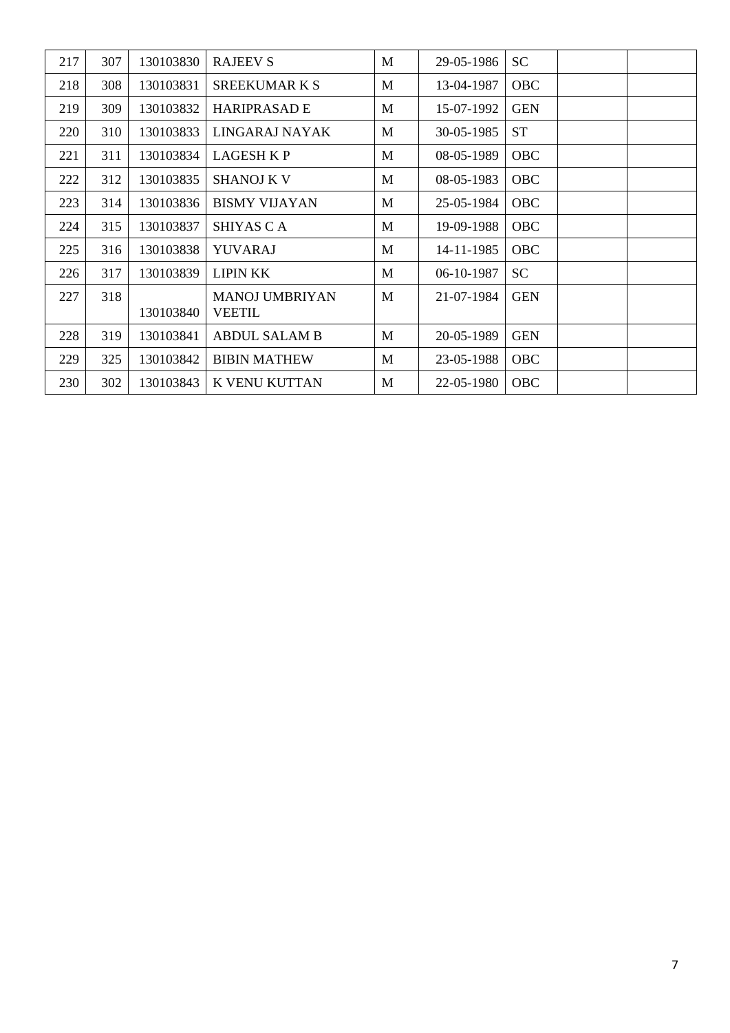| 217 | 307 | 130103830 | <b>RAJEEV S</b>                        | M | 29-05-1986 | <b>SC</b>  |  |
|-----|-----|-----------|----------------------------------------|---|------------|------------|--|
| 218 | 308 | 130103831 | <b>SREEKUMARKS</b>                     | M | 13-04-1987 | <b>OBC</b> |  |
| 219 | 309 | 130103832 | <b>HARIPRASAD E</b>                    | M | 15-07-1992 | <b>GEN</b> |  |
| 220 | 310 | 130103833 | LINGARAJ NAYAK                         | M | 30-05-1985 | <b>ST</b>  |  |
| 221 | 311 | 130103834 | LAGESH K P                             | M | 08-05-1989 | OBC        |  |
| 222 | 312 | 130103835 | <b>SHANOJ K V</b>                      | M | 08-05-1983 | OBC        |  |
| 223 | 314 | 130103836 | <b>BISMY VIJAYAN</b>                   | M | 25-05-1984 | OBC        |  |
| 224 | 315 | 130103837 | SHIYAS C A                             | M | 19-09-1988 | <b>OBC</b> |  |
| 225 | 316 | 130103838 | YUVARAJ                                | M | 14-11-1985 | OBC        |  |
| 226 | 317 | 130103839 | <b>LIPIN KK</b>                        | M | 06-10-1987 | <b>SC</b>  |  |
| 227 | 318 | 130103840 | <b>MANOJ UMBRIYAN</b><br><b>VEETIL</b> | M | 21-07-1984 | <b>GEN</b> |  |
| 228 | 319 | 130103841 | <b>ABDUL SALAM B</b>                   | M | 20-05-1989 | <b>GEN</b> |  |
| 229 | 325 | 130103842 | <b>BIBIN MATHEW</b>                    | M | 23-05-1988 | <b>OBC</b> |  |
| 230 | 302 | 130103843 | K VENU KUTTAN                          | M | 22-05-1980 | OBC        |  |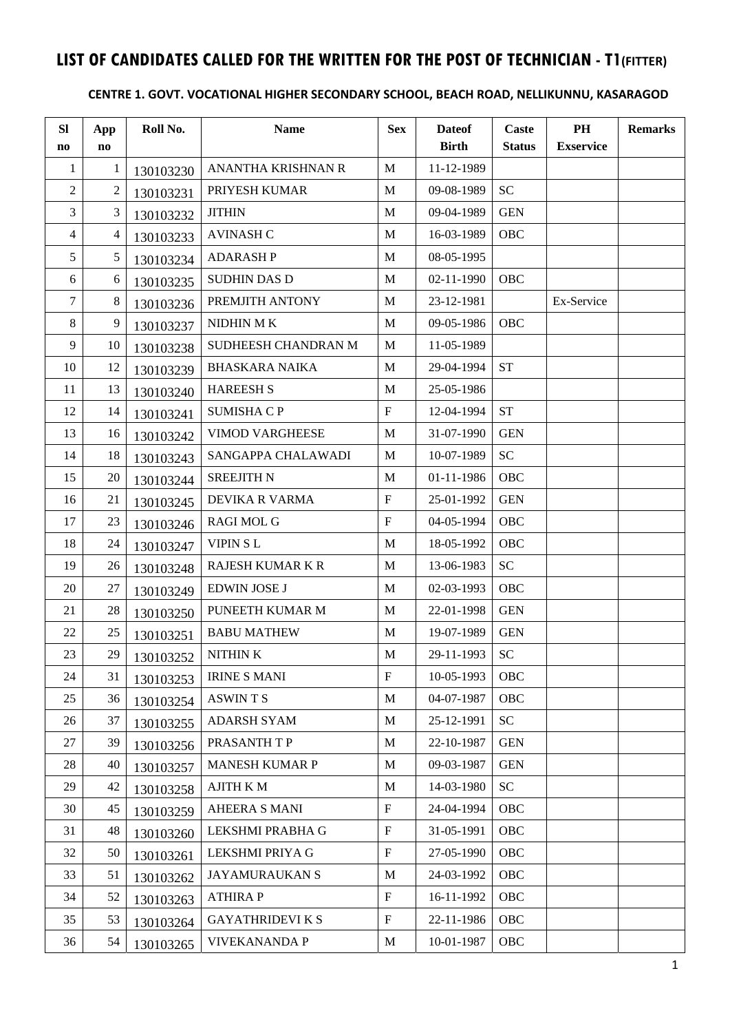## **LIST OF CANDIDATES CALLED FOR THE WRITTEN FOR THE POST OF TECHNICIAN - T1(FITTER)**

#### **CENTRE 1. GOVT. VOCATIONAL HIGHER SECONDARY SCHOOL, BEACH ROAD, NELLIKUNNU, KASARAGOD**

| <b>SI</b><br>no | App<br>$\mathbf{n}\mathbf{o}$ | Roll No.  | <b>Name</b>             | <b>Sex</b>                | <b>Dateof</b><br><b>Birth</b> | Caste<br><b>Status</b> | PH<br><b>Exservice</b> | <b>Remarks</b> |
|-----------------|-------------------------------|-----------|-------------------------|---------------------------|-------------------------------|------------------------|------------------------|----------------|
| $\mathbf{1}$    | 1                             | 130103230 | ANANTHA KRISHNAN R      | M                         | 11-12-1989                    |                        |                        |                |
| $\sqrt{2}$      | 2                             | 130103231 | PRIYESH KUMAR           | M                         | 09-08-1989                    | <b>SC</b>              |                        |                |
| 3               | 3                             | 130103232 | <b>JITHIN</b>           | M                         | 09-04-1989                    | <b>GEN</b>             |                        |                |
| $\overline{4}$  | $\overline{4}$                | 130103233 | <b>AVINASH C</b>        | M                         | 16-03-1989                    | OBC                    |                        |                |
| 5               | 5                             | 130103234 | <b>ADARASHP</b>         | M                         | 08-05-1995                    |                        |                        |                |
| 6               | 6                             | 130103235 | <b>SUDHIN DAS D</b>     | M                         | 02-11-1990                    | <b>OBC</b>             |                        |                |
| 7               | 8                             | 130103236 | PREMJITH ANTONY         | M                         | 23-12-1981                    |                        | Ex-Service             |                |
| 8               | 9                             | 130103237 | NIDHIN MK               | M                         | 09-05-1986                    | <b>OBC</b>             |                        |                |
| 9               | 10                            | 130103238 | SUDHEESH CHANDRAN M     | M                         | 11-05-1989                    |                        |                        |                |
| 10              | 12                            | 130103239 | <b>BHASKARA NAIKA</b>   | M                         | 29-04-1994                    | <b>ST</b>              |                        |                |
| 11              | 13                            | 130103240 | <b>HAREESH S</b>        | M                         | 25-05-1986                    |                        |                        |                |
| 12              | 14                            | 130103241 | <b>SUMISHA C P</b>      | $\boldsymbol{\mathrm{F}}$ | 12-04-1994                    | <b>ST</b>              |                        |                |
| 13              | 16                            | 130103242 | <b>VIMOD VARGHEESE</b>  | M                         | 31-07-1990                    | <b>GEN</b>             |                        |                |
| 14              | 18                            | 130103243 | SANGAPPA CHALAWADI      | M                         | 10-07-1989                    | <b>SC</b>              |                        |                |
| 15              | 20                            | 130103244 | <b>SREEJITH N</b>       | $\mathbf M$               | 01-11-1986                    | OBC                    |                        |                |
| 16              | 21                            | 130103245 | DEVIKA R VARMA          | $\boldsymbol{\mathrm{F}}$ | 25-01-1992                    | <b>GEN</b>             |                        |                |
| 17              | 23                            | 130103246 | <b>RAGI MOL G</b>       | $\boldsymbol{\mathrm{F}}$ | 04-05-1994                    | OBC                    |                        |                |
| 18              | 24                            | 130103247 | <b>VIPIN SL</b>         | M                         | 18-05-1992                    | OBC                    |                        |                |
| 19              | 26                            | 130103248 | RAJESH KUMAR K R        | M                         | 13-06-1983                    | <b>SC</b>              |                        |                |
| 20              | 27                            | 130103249 | <b>EDWIN JOSE J</b>     | M                         | 02-03-1993                    | OBC                    |                        |                |
| 21              | 28                            | 130103250 | PUNEETH KUMAR M         | M                         | 22-01-1998                    | <b>GEN</b>             |                        |                |
| 22              | 25                            | 130103251 | <b>BABU MATHEW</b>      | M                         | 19-07-1989                    | <b>GEN</b>             |                        |                |
| 23              | 29                            | 130103252 | NITHIN K                | M                         | 29-11-1993                    | <b>SC</b>              |                        |                |
| 24              | 31                            | 130103253 | <b>IRINE S MANI</b>     | $\boldsymbol{\mathrm{F}}$ | 10-05-1993                    | OBC                    |                        |                |
| 25              | 36                            | 130103254 | <b>ASWINTS</b>          | M                         | 04-07-1987                    | <b>OBC</b>             |                        |                |
| 26              | 37                            | 130103255 | <b>ADARSH SYAM</b>      | M                         | 25-12-1991                    | SC <sub>1</sub>        |                        |                |
| 27              | 39                            | 130103256 | PRASANTH T P            | M                         | 22-10-1987                    | <b>GEN</b>             |                        |                |
| 28              | 40                            | 130103257 | <b>MANESH KUMAR P</b>   | M                         | 09-03-1987                    | <b>GEN</b>             |                        |                |
| 29              | 42                            | 130103258 | AJITH K M               | M                         | 14-03-1980                    | <b>SC</b>              |                        |                |
| 30              | 45                            | 130103259 | <b>AHEERA S MANI</b>    | $\boldsymbol{\mathrm{F}}$ | 24-04-1994                    | <b>OBC</b>             |                        |                |
| 31              | 48                            | 130103260 | LEKSHMI PRABHA G        | $\boldsymbol{\mathrm{F}}$ | 31-05-1991                    | <b>OBC</b>             |                        |                |
| 32              | 50                            | 130103261 | LEKSHMI PRIYA G         | $\boldsymbol{\mathrm{F}}$ | 27-05-1990                    | <b>OBC</b>             |                        |                |
| 33              | 51                            | 130103262 | <b>JAYAMURAUKAN S</b>   | M                         | 24-03-1992                    | <b>OBC</b>             |                        |                |
| 34              | 52                            | 130103263 | <b>ATHIRAP</b>          | $\boldsymbol{\mathrm{F}}$ | 16-11-1992                    | <b>OBC</b>             |                        |                |
| 35              | 53                            | 130103264 | <b>GAYATHRIDEVI K S</b> | $\boldsymbol{\mathrm{F}}$ | 22-11-1986                    | <b>OBC</b>             |                        |                |
| 36              | 54                            | 130103265 | <b>VIVEKANANDA P</b>    | M                         | 10-01-1987                    | OBC                    |                        |                |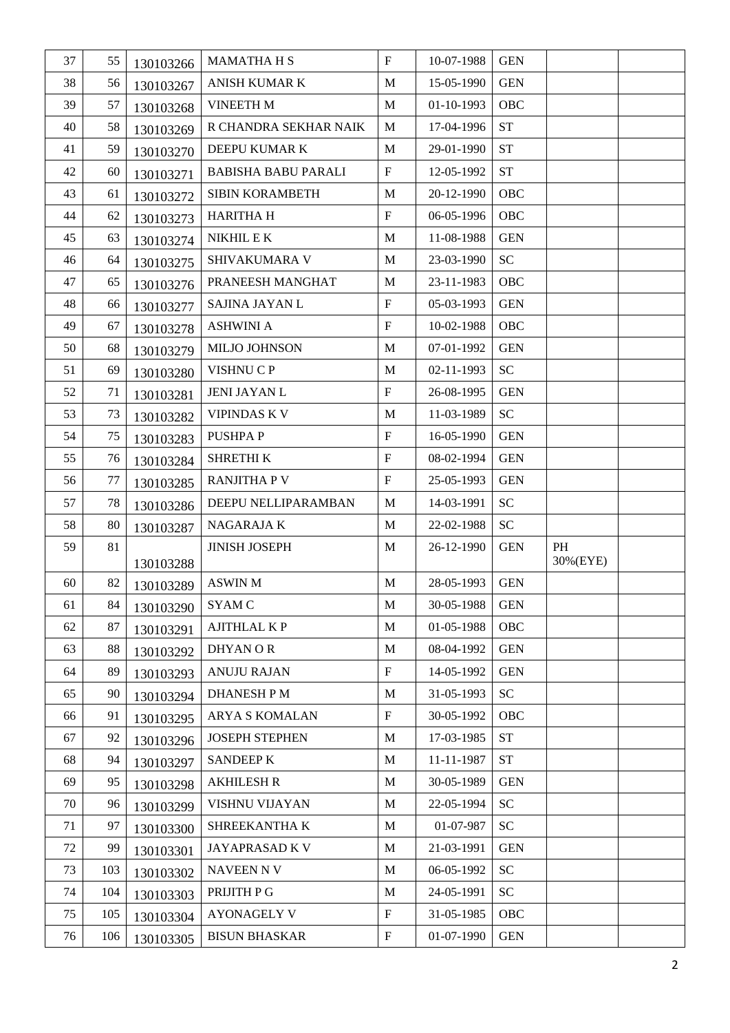| 37       | 55         | 130103266 | <b>MAMATHAHS</b>                           | $\mathbf F$                              | 10-07-1988               | <b>GEN</b>                 |          |  |
|----------|------------|-----------|--------------------------------------------|------------------------------------------|--------------------------|----------------------------|----------|--|
| 38       | 56         | 130103267 | ANISH KUMAR K                              | M                                        | 15-05-1990               | <b>GEN</b>                 |          |  |
| 39       | 57         | 130103268 | <b>VINEETH M</b>                           | M                                        | 01-10-1993               | OBC                        |          |  |
| 40       | 58         | 130103269 | R CHANDRA SEKHAR NAIK                      | M                                        | 17-04-1996               | <b>ST</b>                  |          |  |
| 41       | 59         | 130103270 | DEEPU KUMAR K                              | M                                        | 29-01-1990               | $\operatorname{ST}$        |          |  |
| 42       | 60         | 130103271 | <b>BABISHA BABU PARALI</b>                 | $\boldsymbol{\mathrm{F}}$                | 12-05-1992               | $\operatorname{ST}$        |          |  |
| 43       | 61         | 130103272 | SIBIN KORAMBETH                            | M                                        | 20-12-1990               | OBC                        |          |  |
| 44       | 62         | 130103273 | <b>HARITHA H</b>                           | $\boldsymbol{\mathrm{F}}$                | 06-05-1996               | OBC                        |          |  |
| 45       | 63         | 130103274 | NIKHIL E K                                 | M                                        | 11-08-1988               | <b>GEN</b>                 |          |  |
| 46       | 64         | 130103275 | SHIVAKUMARA V                              | M                                        | 23-03-1990               | SC                         |          |  |
| 47       | 65         | 130103276 | PRANEESH MANGHAT                           | M                                        | 23-11-1983               | OBC                        |          |  |
| 48       | 66         | 130103277 | SAJINA JAYAN L                             | $\boldsymbol{\mathrm{F}}$                | 05-03-1993               | <b>GEN</b>                 |          |  |
| 49       | 67         | 130103278 | <b>ASHWINI A</b>                           | $\mathbf F$                              | 10-02-1988               | OBC                        |          |  |
| 50       | 68         | 130103279 | MILJO JOHNSON                              | M                                        | 07-01-1992               | <b>GEN</b>                 |          |  |
| 51       | 69         | 130103280 | VISHNU C P                                 | M                                        | 02-11-1993               | $\ensuremath{\mathbf{SC}}$ |          |  |
| 52       | 71         | 130103281 | <b>JENI JAYAN L</b>                        | $\boldsymbol{\mathrm{F}}$                | 26-08-1995               | <b>GEN</b>                 |          |  |
| 53       | 73         | 130103282 | <b>VIPINDAS K V</b>                        | M                                        | 11-03-1989               | $\ensuremath{\mathbf{SC}}$ |          |  |
| 54       | 75         | 130103283 | PUSHPA P                                   | $\boldsymbol{\mathrm{F}}$                | 16-05-1990               | <b>GEN</b>                 |          |  |
| 55       | 76         | 130103284 | SHRETHI K                                  | $\mathbf F$                              | 08-02-1994               | <b>GEN</b>                 |          |  |
| 56       | $77\,$     | 130103285 | <b>RANJITHA P V</b>                        | $\boldsymbol{\mathrm{F}}$                | 25-05-1993               | <b>GEN</b>                 |          |  |
| 57       | 78         |           | DEEPU NELLIPARAMBAN                        | M                                        | 14-03-1991               | SC                         |          |  |
|          |            | 130103286 |                                            |                                          |                          |                            |          |  |
| 58       | 80         | 130103287 | NAGARAJA K                                 | $\mathbf M$                              | 22-02-1988               | ${\rm SC}$                 |          |  |
| 59       | 81         |           | <b>JINISH JOSEPH</b>                       | M                                        | 26-12-1990               | <b>GEN</b>                 | PH       |  |
|          |            | 130103288 |                                            |                                          |                          |                            | 30%(EYE) |  |
| 60       | 82         | 130103289 | <b>ASWIN M</b>                             | M                                        | 28-05-1993               | <b>GEN</b>                 |          |  |
| 61       | 84         | 130103290 | <b>SYAM C</b>                              | M                                        | 30-05-1988               | <b>GEN</b>                 |          |  |
| 62       | 87         | 130103291 | <b>AJITHLAL KP</b>                         | $\mathbf M$                              | 01-05-1988               | <b>OBC</b>                 |          |  |
| 63       | 88         | 130103292 | <b>DHYANOR</b>                             | M                                        | 08-04-1992               | <b>GEN</b>                 |          |  |
| 64       | 89         | 130103293 | <b>ANUJU RAJAN</b>                         | ${\bf F}$                                | 14-05-1992               | <b>GEN</b>                 |          |  |
| 65       | 90         | 130103294 | <b>DHANESH PM</b>                          | M                                        | 31-05-1993               | SC <sub>1</sub>            |          |  |
| 66       | 91         | 130103295 | ARYA S KOMALAN                             | ${\bf F}$                                | 30-05-1992               | <b>OBC</b>                 |          |  |
| 67       | 92         | 130103296 | <b>JOSEPH STEPHEN</b>                      | M                                        | 17-03-1985               | <b>ST</b>                  |          |  |
| 68       | 94         | 130103297 | <b>SANDEEP K</b>                           | M                                        | 11-11-1987               | <b>ST</b>                  |          |  |
| 69       | 95         | 130103298 | <b>AKHILESH R</b>                          | M                                        | 30-05-1989               | <b>GEN</b>                 |          |  |
| 70       | 96         | 130103299 | VISHNU VIJAYAN                             | M                                        | 22-05-1994               | <b>SC</b>                  |          |  |
| 71       | 97         | 130103300 | SHREEKANTHA K                              | M                                        | 01-07-987                | SC                         |          |  |
| 72       | 99         | 130103301 | JAYAPRASAD K V                             | M                                        | 21-03-1991               | <b>GEN</b>                 |          |  |
| 73       | 103        | 130103302 | <b>NAVEEN N V</b>                          | M                                        | 06-05-1992               | <b>SC</b>                  |          |  |
| 74       | 104        | 130103303 | PRIJITH P G                                | M                                        | 24-05-1991               | SC                         |          |  |
| 75<br>76 | 105<br>106 | 130103304 | <b>AYONAGELY V</b><br><b>BISUN BHASKAR</b> | $\mathbf F$<br>$\boldsymbol{\mathrm{F}}$ | 31-05-1985<br>01-07-1990 | OBC<br><b>GEN</b>          |          |  |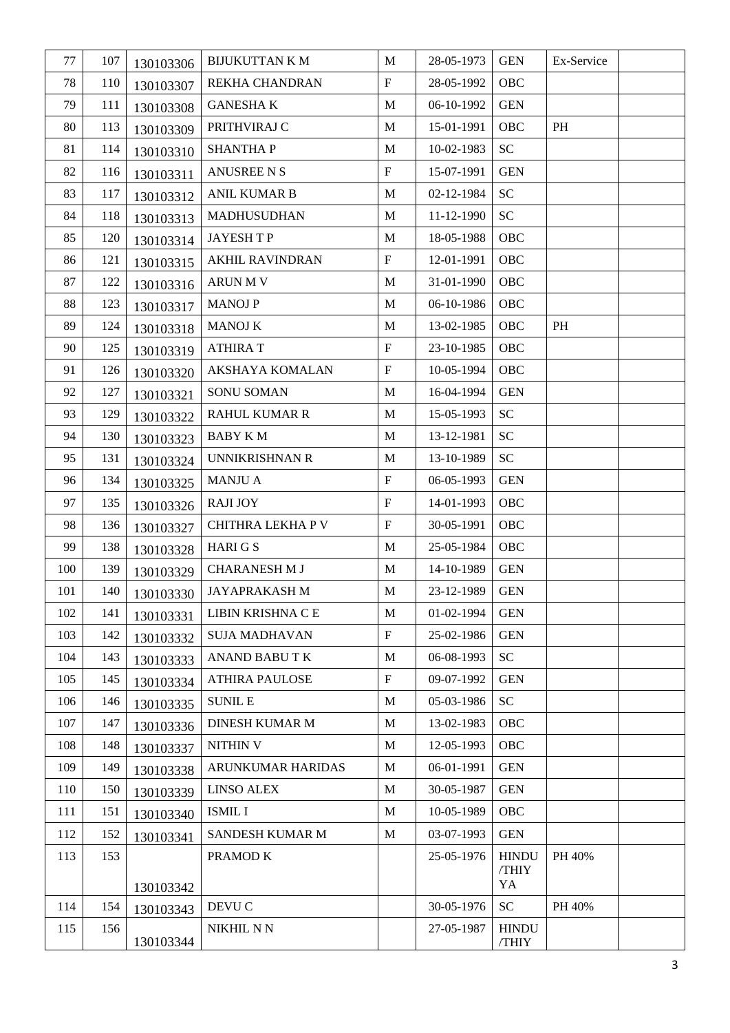| 77  | 107 | 130103306 | <b>BIJUKUTTAN K M</b>  | M                         | 28-05-1973 | <b>GEN</b>   | Ex-Service |  |
|-----|-----|-----------|------------------------|---------------------------|------------|--------------|------------|--|
| 78  | 110 | 130103307 | REKHA CHANDRAN         | $\boldsymbol{\mathrm{F}}$ | 28-05-1992 | OBC          |            |  |
| 79  | 111 | 130103308 | <b>GANESHAK</b>        | M                         | 06-10-1992 | <b>GEN</b>   |            |  |
| 80  | 113 | 130103309 | PRITHVIRAJ C           | M                         | 15-01-1991 | OBC          | PH         |  |
| 81  | 114 | 130103310 | <b>SHANTHAP</b>        | M                         | 10-02-1983 | <b>SC</b>    |            |  |
| 82  | 116 | 130103311 | <b>ANUSREE N S</b>     | $\boldsymbol{\mathrm{F}}$ | 15-07-1991 | <b>GEN</b>   |            |  |
| 83  | 117 | 130103312 | <b>ANIL KUMAR B</b>    | M                         | 02-12-1984 | <b>SC</b>    |            |  |
| 84  | 118 | 130103313 | <b>MADHUSUDHAN</b>     | M                         | 11-12-1990 | <b>SC</b>    |            |  |
| 85  | 120 | 130103314 | <b>JAYESHTP</b>        | M                         | 18-05-1988 | <b>OBC</b>   |            |  |
| 86  | 121 | 130103315 | <b>AKHIL RAVINDRAN</b> | $\boldsymbol{\mathrm{F}}$ | 12-01-1991 | OBC          |            |  |
| 87  | 122 | 130103316 | <b>ARUN M V</b>        | M                         | 31-01-1990 | OBC          |            |  |
| 88  | 123 | 130103317 | <b>MANOJ P</b>         | M                         | 06-10-1986 | OBC          |            |  |
| 89  | 124 | 130103318 | <b>MANOJ K</b>         | M                         | 13-02-1985 | OBC          | PH         |  |
| 90  | 125 | 130103319 | <b>ATHIRAT</b>         | $\boldsymbol{\mathrm{F}}$ | 23-10-1985 | OBC          |            |  |
| 91  | 126 | 130103320 | AKSHAYA KOMALAN        | ${\bf F}$                 | 10-05-1994 | <b>OBC</b>   |            |  |
| 92  | 127 | 130103321 | SONU SOMAN             | M                         | 16-04-1994 | <b>GEN</b>   |            |  |
| 93  | 129 | 130103322 | <b>RAHUL KUMAR R</b>   | M                         | 15-05-1993 | <b>SC</b>    |            |  |
| 94  | 130 | 130103323 | <b>BABY KM</b>         | M                         | 13-12-1981 | <b>SC</b>    |            |  |
| 95  | 131 | 130103324 | UNNIKRISHNAN R         | M                         | 13-10-1989 | <b>SC</b>    |            |  |
| 96  | 134 | 130103325 | <b>MANJU A</b>         | $\boldsymbol{\mathrm{F}}$ | 06-05-1993 | <b>GEN</b>   |            |  |
| 97  | 135 | 130103326 | <b>RAJI JOY</b>        | $\boldsymbol{\mathrm{F}}$ | 14-01-1993 | <b>OBC</b>   |            |  |
| 98  | 136 | 130103327 | CHITHRA LEKHA P V      | $\boldsymbol{\mathrm{F}}$ | 30-05-1991 | OBC          |            |  |
| 99  | 138 | 130103328 | <b>HARIGS</b>          | M                         | 25-05-1984 | OBC          |            |  |
| 100 | 139 | 130103329 | <b>CHARANESH M J</b>   | M                         | 14-10-1989 | <b>GEN</b>   |            |  |
| 101 | 140 | 130103330 | <b>JAYAPRAKASH M</b>   | M                         | 23-12-1989 | <b>GEN</b>   |            |  |
| 102 | 141 | 130103331 | LIBIN KRISHNA C E      | M                         | 01-02-1994 | <b>GEN</b>   |            |  |
| 103 | 142 | 130103332 | <b>SUJA MADHAVAN</b>   | $\boldsymbol{\mathrm{F}}$ | 25-02-1986 | <b>GEN</b>   |            |  |
| 104 | 143 | 130103333 | ANAND BABU TK          | M                         | 06-08-1993 | <b>SC</b>    |            |  |
| 105 | 145 | 130103334 | <b>ATHIRA PAULOSE</b>  | $\boldsymbol{\mathrm{F}}$ | 09-07-1992 | <b>GEN</b>   |            |  |
| 106 | 146 | 130103335 | <b>SUNIL E</b>         | M                         | 05-03-1986 | <b>SC</b>    |            |  |
| 107 | 147 | 130103336 | <b>DINESH KUMAR M</b>  | M                         | 13-02-1983 | <b>OBC</b>   |            |  |
| 108 | 148 | 130103337 | NITHIN V               | M                         | 12-05-1993 | OBC          |            |  |
| 109 | 149 | 130103338 | ARUNKUMAR HARIDAS      | M                         | 06-01-1991 | <b>GEN</b>   |            |  |
| 110 | 150 | 130103339 | <b>LINSO ALEX</b>      | M                         | 30-05-1987 | <b>GEN</b>   |            |  |
| 111 | 151 | 130103340 | <b>ISMIL I</b>         | M                         | 10-05-1989 | <b>OBC</b>   |            |  |
| 112 | 152 | 130103341 | SANDESH KUMAR M        | M                         | 03-07-1993 | <b>GEN</b>   |            |  |
| 113 | 153 |           | PRAMOD K               |                           | 25-05-1976 | <b>HINDU</b> | PH 40%     |  |
|     |     | 130103342 |                        |                           |            | /THIY<br>YA  |            |  |
| 114 | 154 | 130103343 | DEVU C                 |                           | 30-05-1976 | <b>SC</b>    | PH 40%     |  |
| 115 | 156 |           | NIKHIL NN              |                           | 27-05-1987 | <b>HINDU</b> |            |  |
|     |     | 130103344 |                        |                           |            | /THIY        |            |  |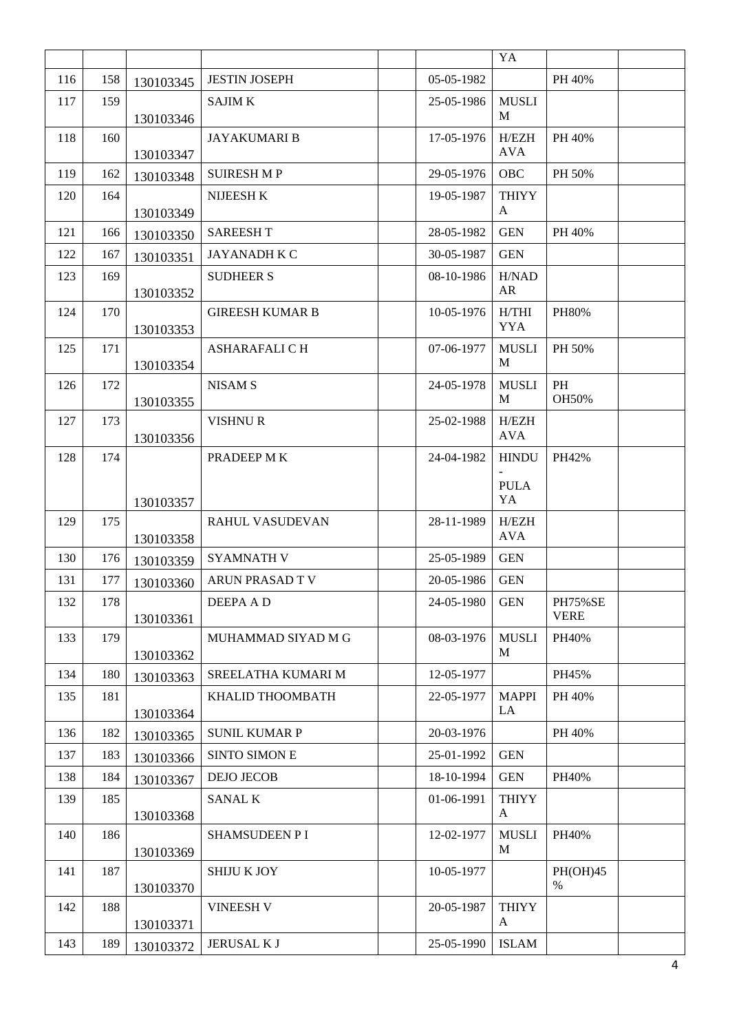|     |     |           |                        |            | YA                  |                               |  |
|-----|-----|-----------|------------------------|------------|---------------------|-------------------------------|--|
| 116 | 158 | 130103345 | <b>JESTIN JOSEPH</b>   | 05-05-1982 |                     | PH 40%                        |  |
| 117 | 159 | 130103346 | <b>SAJIM K</b>         | 25-05-1986 | <b>MUSLI</b><br>M   |                               |  |
| 118 | 160 | 130103347 | <b>JAYAKUMARI B</b>    | 17-05-1976 | H/EZH<br><b>AVA</b> | PH 40%                        |  |
| 119 | 162 | 130103348 | <b>SUIRESH MP</b>      | 29-05-1976 | <b>OBC</b>          | PH 50%                        |  |
| 120 | 164 | 130103349 | NIJEESH K              | 19-05-1987 | <b>THIYY</b><br>A   |                               |  |
| 121 | 166 | 130103350 | <b>SAREESHT</b>        | 28-05-1982 | <b>GEN</b>          | PH 40%                        |  |
| 122 | 167 | 130103351 | <b>JAYANADH K C</b>    | 30-05-1987 | <b>GEN</b>          |                               |  |
| 123 | 169 | 130103352 | <b>SUDHEER S</b>       | 08-10-1986 | H/NAD<br>AR         |                               |  |
| 124 | 170 | 130103353 | <b>GIREESH KUMAR B</b> | 10-05-1976 | H/THI<br><b>YYA</b> | <b>PH80%</b>                  |  |
| 125 | 171 | 130103354 | ASHARAFALI C H         | 07-06-1977 | <b>MUSLI</b><br>M   | PH 50%                        |  |
| 126 | 172 | 130103355 | <b>NISAM S</b>         | 24-05-1978 | <b>MUSLI</b><br>M   | PH<br>OH50%                   |  |
| 127 | 173 | 130103356 | <b>VISHNUR</b>         | 25-02-1988 | H/EZH<br><b>AVA</b> |                               |  |
| 128 | 174 |           | PRADEEP MK             | 24-04-1982 | <b>HINDU</b>        | PH42%                         |  |
|     |     | 130103357 |                        |            | <b>PULA</b><br>YA   |                               |  |
| 129 | 175 | 130103358 | <b>RAHUL VASUDEVAN</b> | 28-11-1989 | H/EZH<br><b>AVA</b> |                               |  |
| 130 | 176 | 130103359 | <b>SYAMNATH V</b>      | 25-05-1989 | <b>GEN</b>          |                               |  |
| 131 | 177 | 130103360 | ARUN PRASAD T V        | 20-05-1986 | <b>GEN</b>          |                               |  |
| 132 | 178 | 130103361 | DEEPA A D              | 24-05-1980 | <b>GEN</b>          | <b>PH75%SE</b><br><b>VERE</b> |  |
| 133 | 179 | 130103362 | MUHAMMAD SIYAD M G     | 08-03-1976 | <b>MUSLI</b><br>M   | PH40%                         |  |
| 134 | 180 | 130103363 | SREELATHA KUMARI M     | 12-05-1977 |                     | PH45%                         |  |
| 135 | 181 | 130103364 | KHALID THOOMBATH       | 22-05-1977 | <b>MAPPI</b><br>LA  | PH 40%                        |  |
| 136 | 182 | 130103365 | <b>SUNIL KUMAR P</b>   | 20-03-1976 |                     | PH 40%                        |  |
| 137 | 183 | 130103366 | <b>SINTO SIMON E</b>   | 25-01-1992 | <b>GEN</b>          |                               |  |
| 138 | 184 | 130103367 | <b>DEJO JECOB</b>      | 18-10-1994 | <b>GEN</b>          | PH40%                         |  |
| 139 | 185 | 130103368 | <b>SANAL K</b>         | 01-06-1991 | <b>THIYY</b><br>A   |                               |  |
| 140 | 186 | 130103369 | SHAMSUDEEN P I         | 12-02-1977 | <b>MUSLI</b><br>M   | PH40%                         |  |
| 141 | 187 | 130103370 | <b>SHIJU K JOY</b>     | 10-05-1977 |                     | PH(OH)45<br>$\%$              |  |
| 142 | 188 | 130103371 | <b>VINEESH V</b>       | 20-05-1987 | <b>THIYY</b><br>A   |                               |  |
| 143 | 189 | 130103372 | JERUSAL K J            | 25-05-1990 | <b>ISLAM</b>        |                               |  |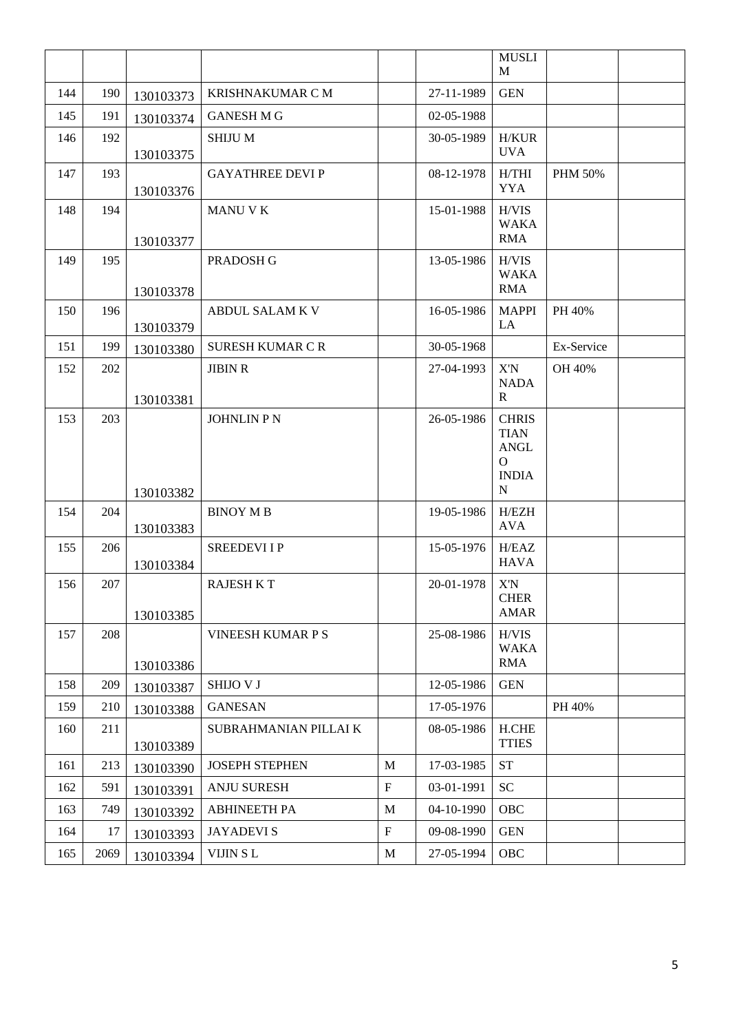|     |      |           |                          |             |            | <b>MUSLI</b><br>M                                                           |                |  |
|-----|------|-----------|--------------------------|-------------|------------|-----------------------------------------------------------------------------|----------------|--|
| 144 | 190  | 130103373 | <b>KRISHNAKUMAR C M</b>  |             | 27-11-1989 | <b>GEN</b>                                                                  |                |  |
| 145 | 191  | 130103374 | <b>GANESH M G</b>        |             | 02-05-1988 |                                                                             |                |  |
| 146 | 192  | 130103375 | <b>SHIJUM</b>            |             | 30-05-1989 | <b>H/KUR</b><br><b>UVA</b>                                                  |                |  |
| 147 | 193  | 130103376 | <b>GAYATHREE DEVIP</b>   |             | 08-12-1978 | H/THI<br><b>YYA</b>                                                         | <b>PHM 50%</b> |  |
| 148 | 194  | 130103377 | <b>MANU V K</b>          |             | 15-01-1988 | H/VIS<br><b>WAKA</b><br><b>RMA</b>                                          |                |  |
| 149 | 195  | 130103378 | PRADOSH G                |             | 13-05-1986 | H/VIS<br><b>WAKA</b><br><b>RMA</b>                                          |                |  |
| 150 | 196  | 130103379 | <b>ABDUL SALAM K V</b>   |             | 16-05-1986 | <b>MAPPI</b><br>LA                                                          | PH 40%         |  |
| 151 | 199  | 130103380 | <b>SURESH KUMAR C R</b>  |             | 30-05-1968 |                                                                             | Ex-Service     |  |
| 152 | 202  | 130103381 | <b>JIBIN R</b>           |             | 27-04-1993 | X'N<br><b>NADA</b><br>$\mathbb{R}$                                          | OH 40%         |  |
| 153 | 203  | 130103382 | <b>JOHNLIN P N</b>       |             | 26-05-1986 | <b>CHRIS</b><br><b>TIAN</b><br><b>ANGL</b><br>$\Omega$<br><b>INDIA</b><br>N |                |  |
| 154 | 204  | 130103383 | <b>BINOY MB</b>          |             | 19-05-1986 | H/EZH<br><b>AVA</b>                                                         |                |  |
| 155 | 206  | 130103384 | <b>SREEDEVIIP</b>        |             | 15-05-1976 | H/EAZ<br><b>HAVA</b>                                                        |                |  |
| 156 | 207  | 130103385 | <b>RAJESH K T</b>        |             | 20-01-1978 | X'N<br><b>CHER</b><br><b>AMAR</b>                                           |                |  |
| 157 | 208  | 130103386 | <b>VINEESH KUMAR P S</b> |             | 25-08-1986 | H/VIS<br><b>WAKA</b><br><b>RMA</b>                                          |                |  |
| 158 | 209  | 130103387 | <b>SHIJO V J</b>         |             | 12-05-1986 | <b>GEN</b>                                                                  |                |  |
| 159 | 210  | 130103388 | <b>GANESAN</b>           |             | 17-05-1976 |                                                                             | PH 40%         |  |
| 160 | 211  | 130103389 | SUBRAHMANIAN PILLAI K    |             | 08-05-1986 | <b>H.CHE</b><br><b>TTIES</b>                                                |                |  |
| 161 | 213  | 130103390 | <b>JOSEPH STEPHEN</b>    | M           | 17-03-1985 | <b>ST</b>                                                                   |                |  |
| 162 | 591  | 130103391 | <b>ANJU SURESH</b>       | $\mathbf F$ | 03-01-1991 | <b>SC</b>                                                                   |                |  |
| 163 | 749  | 130103392 | <b>ABHINEETH PA</b>      | M           | 04-10-1990 | OBC                                                                         |                |  |
| 164 | 17   | 130103393 | <b>JAYADEVIS</b>         | $\mathbf F$ | 09-08-1990 | <b>GEN</b>                                                                  |                |  |
| 165 | 2069 | 130103394 | VIJIN SL                 | M           | 27-05-1994 | OBC                                                                         |                |  |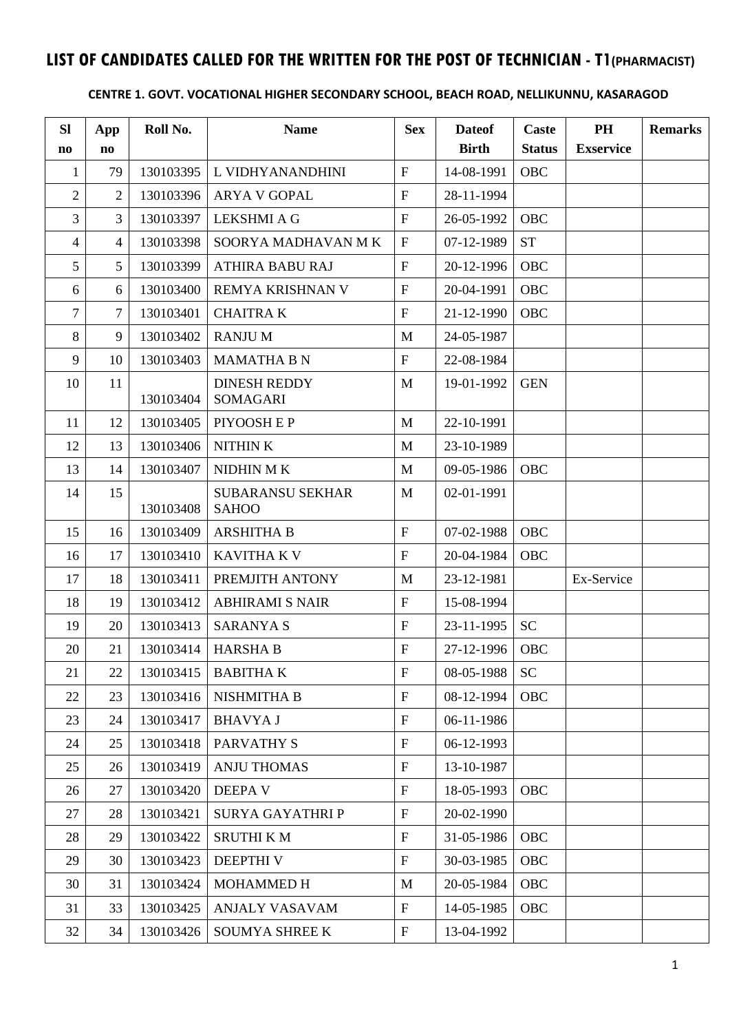## **LIST OF CANDIDATES CALLED FOR THE WRITTEN FOR THE POST OF TECHNICIAN - T1(PHARMACIST)**

### **CENTRE 1. GOVT. VOCATIONAL HIGHER SECONDARY SCHOOL, BEACH ROAD, NELLIKUNNU, KASARAGOD**

| <b>SI</b>      | App                    | Roll No.  | <b>Name</b>                             | <b>Sex</b>                | <b>Dateof</b> | Caste         | <b>PH</b>        | <b>Remarks</b> |
|----------------|------------------------|-----------|-----------------------------------------|---------------------------|---------------|---------------|------------------|----------------|
| n <sub>0</sub> | $\mathbf{n}\mathbf{o}$ |           |                                         |                           | <b>Birth</b>  | <b>Status</b> | <b>Exservice</b> |                |
| $\mathbf{1}$   | 79                     | 130103395 | L VIDHYANANDHINI                        | $\mathbf{F}$              | 14-08-1991    | OBC           |                  |                |
| $\sqrt{2}$     | $\overline{2}$         | 130103396 | <b>ARYA V GOPAL</b>                     | $\mathbf F$               | 28-11-1994    |               |                  |                |
| $\mathfrak{Z}$ | 3                      | 130103397 | <b>LEKSHMI A G</b>                      | $\mathbf{F}$              | 26-05-1992    | OBC           |                  |                |
| $\overline{4}$ | $\overline{4}$         | 130103398 | SOORYA MADHAVAN MK                      | $\boldsymbol{\mathrm{F}}$ | 07-12-1989    | <b>ST</b>     |                  |                |
| 5              | 5                      | 130103399 | <b>ATHIRA BABU RAJ</b>                  | $\mathbf F$               | 20-12-1996    | OBC           |                  |                |
| 6              | 6                      | 130103400 | REMYA KRISHNAN V                        | $\mathbf F$               | 20-04-1991    | OBC           |                  |                |
| $\overline{7}$ | 7                      | 130103401 | <b>CHAITRAK</b>                         | $\boldsymbol{\mathrm{F}}$ | 21-12-1990    | <b>OBC</b>    |                  |                |
| 8              | 9                      | 130103402 | <b>RANJUM</b>                           | M                         | 24-05-1987    |               |                  |                |
| 9              | 10                     | 130103403 | <b>MAMATHA B N</b>                      | $\mathbf{F}$              | 22-08-1984    |               |                  |                |
| 10             | 11                     | 130103404 | <b>DINESH REDDY</b><br><b>SOMAGARI</b>  | M                         | 19-01-1992    | <b>GEN</b>    |                  |                |
| 11             | 12                     | 130103405 | PIYOOSH E P                             | M                         | 22-10-1991    |               |                  |                |
| 12             | 13                     | 130103406 | NITHIN K                                | M                         | 23-10-1989    |               |                  |                |
| 13             | 14                     | 130103407 | NIDHIN MK                               | M                         | 09-05-1986    | <b>OBC</b>    |                  |                |
| 14             | 15                     | 130103408 | <b>SUBARANSU SEKHAR</b><br><b>SAHOO</b> | M                         | 02-01-1991    |               |                  |                |
| 15             | 16                     | 130103409 | <b>ARSHITHA B</b>                       | $\mathbf F$               | 07-02-1988    | OBC           |                  |                |
| 16             | 17                     | 130103410 | <b>KAVITHA K V</b>                      | $\mathbf{F}$              | 20-04-1984    | <b>OBC</b>    |                  |                |
| 17             | 18                     | 130103411 | PREMJITH ANTONY                         | M                         | 23-12-1981    |               | Ex-Service       |                |
| 18             | 19                     | 130103412 | <b>ABHIRAMI S NAIR</b>                  | $\mathbf{F}$              | 15-08-1994    |               |                  |                |
| 19             | 20                     | 130103413 | <b>SARANYA S</b>                        | $\mathbf F$               | 23-11-1995    | <b>SC</b>     |                  |                |
| 20             | 21                     | 130103414 | <b>HARSHA B</b>                         | $\mathbf{F}$              | 27-12-1996    | OBC           |                  |                |
| 21             | 22                     | 130103415 | <b>BABITHAK</b>                         | $\boldsymbol{\mathrm{F}}$ | 08-05-1988    | <b>SC</b>     |                  |                |
| 22             | 23                     | 130103416 | NISHMITHA B                             | $\boldsymbol{\mathrm{F}}$ | 08-12-1994    | <b>OBC</b>    |                  |                |
| 23             | 24                     | 130103417 | <b>BHAVYAJ</b>                          | $\boldsymbol{\mathrm{F}}$ | 06-11-1986    |               |                  |                |
| 24             | 25                     | 130103418 | PARVATHY S                              | $\mathbf F$               | 06-12-1993    |               |                  |                |
| 25             | 26                     | 130103419 | <b>ANJU THOMAS</b>                      | $\mathbf F$               | 13-10-1987    |               |                  |                |
| 26             | 27                     | 130103420 | <b>DEEPA V</b>                          | $\boldsymbol{\mathrm{F}}$ | 18-05-1993    | OBC           |                  |                |
| 27             | 28                     | 130103421 | <b>SURYA GAYATHRIP</b>                  | $\boldsymbol{\mathrm{F}}$ | 20-02-1990    |               |                  |                |
| 28             | 29                     | 130103422 | <b>SRUTHI K M</b>                       | $\mathbf{F}$              | 31-05-1986    | OBC           |                  |                |
| 29             | 30                     | 130103423 | <b>DEEPTHIV</b>                         | ${\bf F}$                 | 30-03-1985    | OBC           |                  |                |
| 30             | 31                     | 130103424 | <b>MOHAMMED H</b>                       | M                         | 20-05-1984    | OBC           |                  |                |
| 31             | 33                     | 130103425 | <b>ANJALY VASAVAM</b>                   | $\boldsymbol{\mathrm{F}}$ | 14-05-1985    | OBC           |                  |                |
| 32             | 34                     | 130103426 | <b>SOUMYA SHREE K</b>                   | $\mathbf F$               | 13-04-1992    |               |                  |                |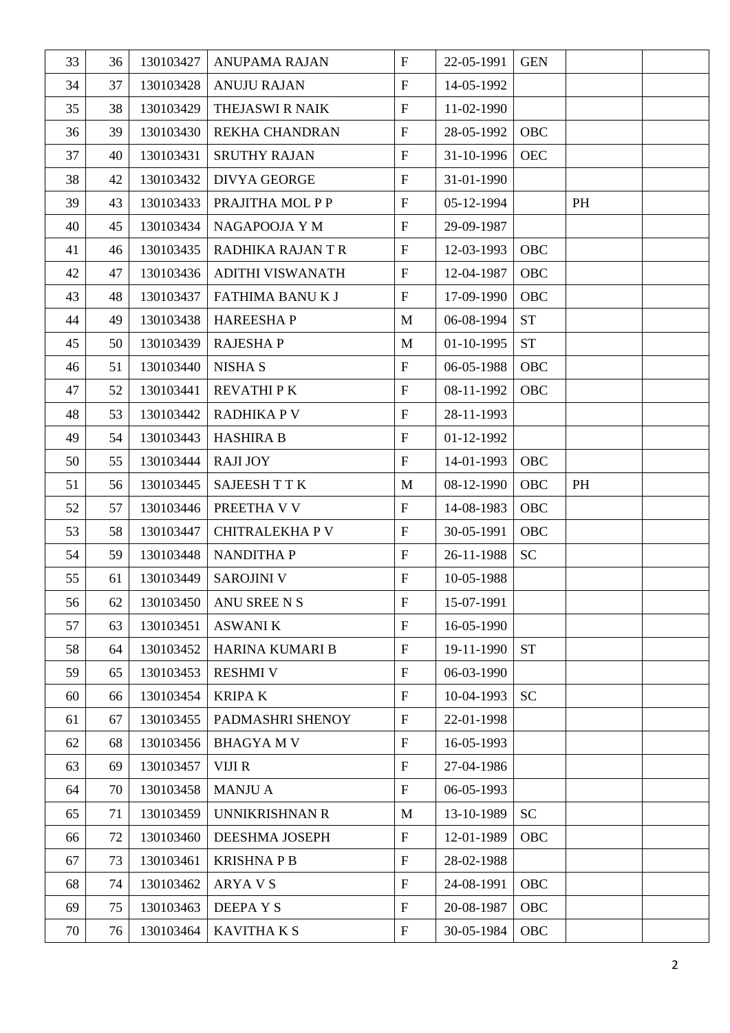| 33 | 36 | 130103427 | <b>ANUPAMA RAJAN</b> | $\mathbf{F}$              | 22-05-1991 | <b>GEN</b> |    |  |
|----|----|-----------|----------------------|---------------------------|------------|------------|----|--|
| 34 | 37 | 130103428 | <b>ANUJU RAJAN</b>   | $\boldsymbol{\mathrm{F}}$ | 14-05-1992 |            |    |  |
| 35 | 38 | 130103429 | THEJASWI R NAIK      | $\boldsymbol{\mathrm{F}}$ | 11-02-1990 |            |    |  |
| 36 | 39 | 130103430 | REKHA CHANDRAN       | $\mathbf F$               | 28-05-1992 | OBC        |    |  |
| 37 | 40 | 130103431 | <b>SRUTHY RAJAN</b>  | $\boldsymbol{\mathrm{F}}$ | 31-10-1996 | <b>OEC</b> |    |  |
| 38 | 42 | 130103432 | <b>DIVYA GEORGE</b>  | $\boldsymbol{\mathrm{F}}$ | 31-01-1990 |            |    |  |
| 39 | 43 | 130103433 | PRAJITHA MOL P P     | $\mathbf F$               | 05-12-1994 |            | PH |  |
| 40 | 45 | 130103434 | NAGAPOOJA Y M        | $\mathbf{F}$              | 29-09-1987 |            |    |  |
| 41 | 46 | 130103435 | RADHIKA RAJANTR      | $\mathbf F$               | 12-03-1993 | OBC        |    |  |
| 42 | 47 | 130103436 | ADITHI VISWANATH     | $\boldsymbol{\mathrm{F}}$ | 12-04-1987 | OBC        |    |  |
| 43 | 48 | 130103437 | FATHIMA BANUK J      | $\boldsymbol{\mathrm{F}}$ | 17-09-1990 | OBC        |    |  |
| 44 | 49 | 130103438 | <b>HAREESHAP</b>     | M                         | 06-08-1994 | <b>ST</b>  |    |  |
| 45 | 50 | 130103439 | <b>RAJESHAP</b>      | M                         | 01-10-1995 | <b>ST</b>  |    |  |
| 46 | 51 | 130103440 | <b>NISHA S</b>       | $\boldsymbol{\mathrm{F}}$ | 06-05-1988 | OBC        |    |  |
| 47 | 52 | 130103441 | <b>REVATHIPK</b>     | $\boldsymbol{\mathrm{F}}$ | 08-11-1992 | OBC        |    |  |
| 48 | 53 | 130103442 | <b>RADHIKA P V</b>   | $\boldsymbol{\mathrm{F}}$ | 28-11-1993 |            |    |  |
| 49 | 54 | 130103443 | <b>HASHIRA B</b>     | $\mathbf F$               | 01-12-1992 |            |    |  |
| 50 | 55 | 130103444 | <b>RAJI JOY</b>      | $\boldsymbol{\mathrm{F}}$ | 14-01-1993 | OBC        |    |  |
| 51 | 56 | 130103445 | <b>SAJEESH T T K</b> | M                         | 08-12-1990 | OBC        | PH |  |
| 52 | 57 | 130103446 | PREETHA V V          | $\boldsymbol{\mathrm{F}}$ | 14-08-1983 | OBC        |    |  |
| 53 | 58 | 130103447 | <b>CHITRALEKHAPV</b> | $\boldsymbol{\mathrm{F}}$ | 30-05-1991 | OBC        |    |  |
| 54 | 59 | 130103448 | <b>NANDITHAP</b>     | $\boldsymbol{\mathrm{F}}$ | 26-11-1988 | <b>SC</b>  |    |  |
| 55 | 61 | 130103449 | <b>SAROJINI V</b>    | $\boldsymbol{\mathrm{F}}$ | 10-05-1988 |            |    |  |
| 56 | 62 | 130103450 | ANU SREE N S         | $\overline{F}$            | 15-07-1991 |            |    |  |
| 57 | 63 | 130103451 | <b>ASWANI K</b>      | $\mathbf{F}$              | 16-05-1990 |            |    |  |
| 58 | 64 | 130103452 | HARINA KUMARI B      | $\boldsymbol{\mathrm{F}}$ | 19-11-1990 | <b>ST</b>  |    |  |
| 59 | 65 | 130103453 | <b>RESHMI V</b>      | $\mathbf F$               | 06-03-1990 |            |    |  |
| 60 | 66 | 130103454 | <b>KRIPAK</b>        | $\mathbf{F}$              | 10-04-1993 | <b>SC</b>  |    |  |
| 61 | 67 | 130103455 | PADMASHRI SHENOY     | $\mathbf{F}$              | 22-01-1998 |            |    |  |
| 62 | 68 | 130103456 | <b>BHAGYAMV</b>      | $\mathbf F$               | 16-05-1993 |            |    |  |
| 63 | 69 | 130103457 | VIJI R               | $\boldsymbol{\mathrm{F}}$ | 27-04-1986 |            |    |  |
| 64 | 70 | 130103458 | <b>MANJU A</b>       | $\mathbf F$               | 06-05-1993 |            |    |  |
| 65 | 71 | 130103459 | UNNIKRISHNAN R       | M                         | 13-10-1989 | <b>SC</b>  |    |  |
| 66 | 72 | 130103460 | DEESHMA JOSEPH       | $\boldsymbol{\mathrm{F}}$ | 12-01-1989 | <b>OBC</b> |    |  |
| 67 | 73 | 130103461 | <b>KRISHNAPB</b>     | $\boldsymbol{\mathrm{F}}$ | 28-02-1988 |            |    |  |
| 68 | 74 | 130103462 | <b>ARYAVS</b>        | $\boldsymbol{\mathrm{F}}$ | 24-08-1991 | OBC        |    |  |
| 69 | 75 | 130103463 | <b>DEEPAYS</b>       | $\mathbf F$               | 20-08-1987 | OBC        |    |  |
| 70 | 76 | 130103464 | <b>KAVITHA K S</b>   | $\boldsymbol{\mathrm{F}}$ | 30-05-1984 | OBC        |    |  |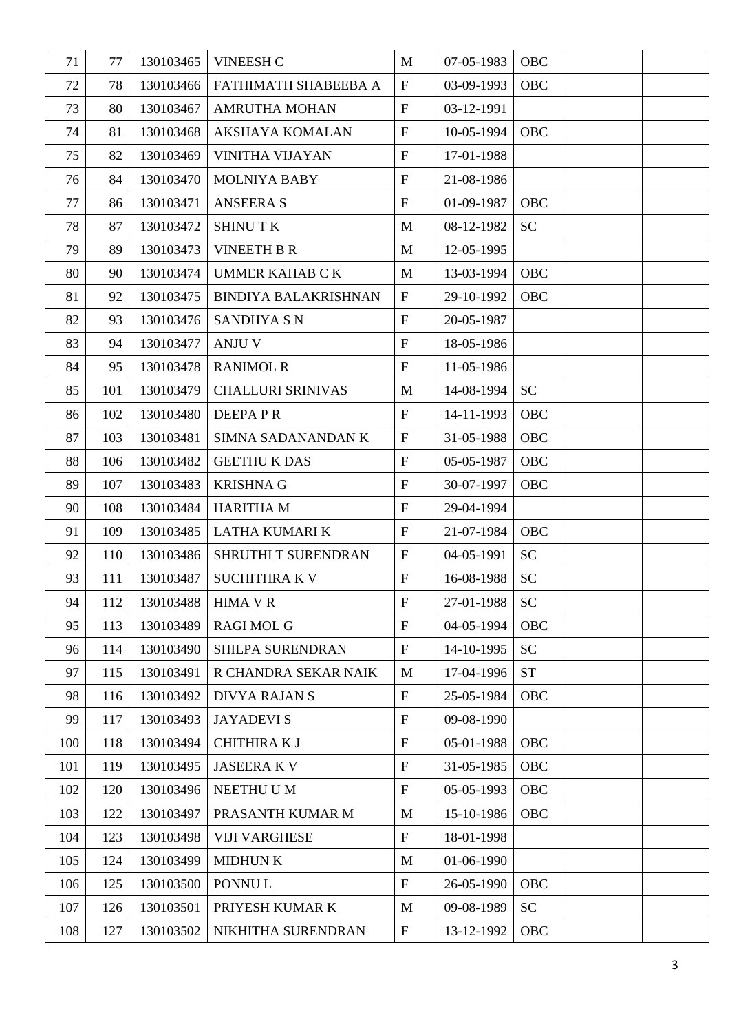| 71  | 77  | 130103465 | <b>VINEESH C</b>            | M                         | 07-05-1983 | OBC        |  |
|-----|-----|-----------|-----------------------------|---------------------------|------------|------------|--|
| 72  | 78  | 130103466 | FATHIMATH SHABEEBA A        | $\boldsymbol{\mathrm{F}}$ | 03-09-1993 | OBC        |  |
| 73  | 80  | 130103467 | <b>AMRUTHA MOHAN</b>        | $\boldsymbol{\mathrm{F}}$ | 03-12-1991 |            |  |
| 74  | 81  | 130103468 | AKSHAYA KOMALAN             | $\boldsymbol{\mathrm{F}}$ | 10-05-1994 | OBC        |  |
| 75  | 82  | 130103469 | <b>VINITHA VIJAYAN</b>      | $\boldsymbol{\mathrm{F}}$ | 17-01-1988 |            |  |
| 76  | 84  | 130103470 | <b>MOLNIYA BABY</b>         | $\mathbf{F}$              | 21-08-1986 |            |  |
| 77  | 86  | 130103471 | <b>ANSEERA S</b>            | $\boldsymbol{\mathrm{F}}$ | 01-09-1987 | OBC        |  |
| 78  | 87  | 130103472 | <b>SHINUTK</b>              | $\mathbf{M}$              | 08-12-1982 | <b>SC</b>  |  |
| 79  | 89  | 130103473 | <b>VINEETH B R</b>          | $\mathbf{M}$              | 12-05-1995 |            |  |
| 80  | 90  | 130103474 | <b>UMMER KAHAB C K</b>      | M                         | 13-03-1994 | OBC        |  |
| 81  | 92  | 130103475 | <b>BINDIYA BALAKRISHNAN</b> | $\boldsymbol{\mathrm{F}}$ | 29-10-1992 | OBC        |  |
| 82  | 93  | 130103476 | <b>SANDHYA S N</b>          | $\mathbf{F}$              | 20-05-1987 |            |  |
| 83  | 94  | 130103477 | <b>ANJU V</b>               | $\boldsymbol{\mathrm{F}}$ | 18-05-1986 |            |  |
| 84  | 95  | 130103478 | <b>RANIMOL R</b>            | $\mathbf{F}$              | 11-05-1986 |            |  |
| 85  | 101 | 130103479 | <b>CHALLURI SRINIVAS</b>    | M                         | 14-08-1994 | <b>SC</b>  |  |
| 86  | 102 | 130103480 | <b>DEEPAPR</b>              | $\boldsymbol{\mathrm{F}}$ | 14-11-1993 | OBC        |  |
| 87  | 103 | 130103481 | SIMNA SADANANDAN K          | $\mathbf{F}$              | 31-05-1988 | OBC        |  |
| 88  | 106 | 130103482 | <b>GEETHU K DAS</b>         | $\boldsymbol{\mathrm{F}}$ | 05-05-1987 | OBC        |  |
| 89  | 107 | 130103483 | <b>KRISHNA G</b>            | $\boldsymbol{\mathrm{F}}$ | 30-07-1997 | OBC        |  |
| 90  | 108 | 130103484 | <b>HARITHA M</b>            | $\boldsymbol{\mathrm{F}}$ | 29-04-1994 |            |  |
| 91  | 109 | 130103485 | LATHA KUMARI K              | $\boldsymbol{\mathrm{F}}$ | 21-07-1984 | OBC        |  |
| 92  | 110 | 130103486 | SHRUTHI T SURENDRAN         | $\mathbf{F}$              | 04-05-1991 | <b>SC</b>  |  |
| 93  | 111 | 130103487 | <b>SUCHITHRA K V</b>        | $\mathbf F$               | 16-08-1988 | SC         |  |
| 94  | 112 | 130103488 | <b>HIMA V R</b>             | F                         | 27-01-1988 | <b>SC</b>  |  |
| 95  | 113 | 130103489 | <b>RAGI MOL G</b>           | $\mathbf{F}$              | 04-05-1994 | OBC        |  |
| 96  | 114 | 130103490 | SHILPA SURENDRAN            | $\boldsymbol{\mathrm{F}}$ | 14-10-1995 | <b>SC</b>  |  |
| 97  | 115 | 130103491 | R CHANDRA SEKAR NAIK        | M                         | 17-04-1996 | <b>ST</b>  |  |
| 98  | 116 | 130103492 | <b>DIVYA RAJAN S</b>        | $\boldsymbol{\mathrm{F}}$ | 25-05-1984 | OBC        |  |
| 99  | 117 | 130103493 | <b>JAYADEVIS</b>            | $\mathbf F$               | 09-08-1990 |            |  |
| 100 | 118 | 130103494 | <b>CHITHIRA KJ</b>          | $\mathbf F$               | 05-01-1988 | OBC        |  |
| 101 | 119 | 130103495 | <b>JASEERAKV</b>            | $\mathbf{F}$              | 31-05-1985 | <b>OBC</b> |  |
| 102 | 120 | 130103496 | NEETHU U M                  | $\mathbf{F}$              | 05-05-1993 | OBC        |  |
| 103 | 122 | 130103497 | PRASANTH KUMAR M            | M                         | 15-10-1986 | OBC        |  |
| 104 | 123 | 130103498 | <b>VIJI VARGHESE</b>        | $\boldsymbol{\mathrm{F}}$ | 18-01-1998 |            |  |
| 105 | 124 | 130103499 | <b>MIDHUN K</b>             | M                         | 01-06-1990 |            |  |
| 106 | 125 | 130103500 | PONNUL                      | $\boldsymbol{\mathrm{F}}$ | 26-05-1990 | OBC        |  |
| 107 | 126 | 130103501 | PRIYESH KUMAR K             | $\mathbf{M}$              | 09-08-1989 | <b>SC</b>  |  |
| 108 | 127 | 130103502 | NIKHITHA SURENDRAN          | $\boldsymbol{\mathrm{F}}$ | 13-12-1992 | OBC        |  |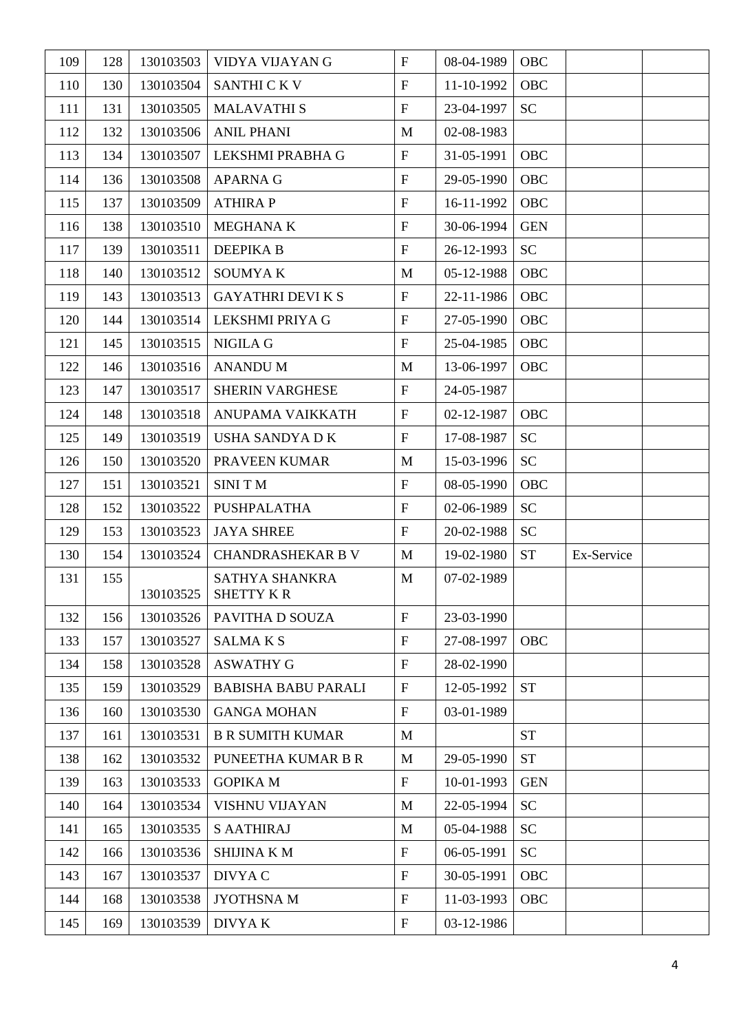| 109 | 128 | 130103503 | VIDYA VIJAYAN G                    | $\mathbf{F}$              | 08-04-1989 | OBC        |            |  |
|-----|-----|-----------|------------------------------------|---------------------------|------------|------------|------------|--|
| 110 | 130 | 130103504 | <b>SANTHI CKV</b>                  | $\boldsymbol{\mathrm{F}}$ | 11-10-1992 | OBC        |            |  |
| 111 | 131 | 130103505 | <b>MALAVATHIS</b>                  | $\mathbf F$               | 23-04-1997 | <b>SC</b>  |            |  |
| 112 | 132 | 130103506 | <b>ANIL PHANI</b>                  | M                         | 02-08-1983 |            |            |  |
| 113 | 134 | 130103507 | LEKSHMI PRABHA G                   | $\boldsymbol{\mathrm{F}}$ | 31-05-1991 | OBC        |            |  |
| 114 | 136 | 130103508 | <b>APARNA G</b>                    | $\boldsymbol{\mathrm{F}}$ | 29-05-1990 | OBC        |            |  |
| 115 | 137 | 130103509 | <b>ATHIRAP</b>                     | $\mathbf{F}$              | 16-11-1992 | OBC        |            |  |
| 116 | 138 | 130103510 | <b>MEGHANA K</b>                   | $\mathbf{F}$              | 30-06-1994 | <b>GEN</b> |            |  |
| 117 | 139 | 130103511 | <b>DEEPIKA B</b>                   | $\boldsymbol{\mathrm{F}}$ | 26-12-1993 | <b>SC</b>  |            |  |
| 118 | 140 | 130103512 | <b>SOUMYAK</b>                     | M                         | 05-12-1988 | OBC        |            |  |
| 119 | 143 | 130103513 | <b>GAYATHRI DEVI K S</b>           | $\mathbf{F}$              | 22-11-1986 | OBC        |            |  |
| 120 | 144 | 130103514 | LEKSHMI PRIYA G                    | $\mathbf{F}$              | 27-05-1990 | OBC        |            |  |
| 121 | 145 | 130103515 | NIGILA G                           | $\mathbf{F}$              | 25-04-1985 | OBC        |            |  |
| 122 | 146 | 130103516 | <b>ANANDUM</b>                     | M                         | 13-06-1997 | OBC        |            |  |
| 123 | 147 | 130103517 | <b>SHERIN VARGHESE</b>             | $\boldsymbol{\mathrm{F}}$ | 24-05-1987 |            |            |  |
| 124 | 148 | 130103518 | ANUPAMA VAIKKATH                   | $\mathbf{F}$              | 02-12-1987 | OBC        |            |  |
| 125 | 149 | 130103519 | <b>USHA SANDYA D K</b>             | $\boldsymbol{\mathrm{F}}$ | 17-08-1987 | <b>SC</b>  |            |  |
| 126 | 150 | 130103520 | PRAVEEN KUMAR                      | M                         | 15-03-1996 | <b>SC</b>  |            |  |
| 127 | 151 | 130103521 | <b>SINITM</b>                      | $\boldsymbol{\mathrm{F}}$ | 08-05-1990 | OBC        |            |  |
| 128 | 152 | 130103522 | PUSHPALATHA                        | $\boldsymbol{\mathrm{F}}$ | 02-06-1989 | <b>SC</b>  |            |  |
| 129 | 153 | 130103523 | <b>JAYA SHREE</b>                  | $\boldsymbol{\mathrm{F}}$ | 20-02-1988 | <b>SC</b>  |            |  |
| 130 | 154 | 130103524 | <b>CHANDRASHEKAR B V</b>           | M                         | 19-02-1980 | <b>ST</b>  | Ex-Service |  |
| 131 | 155 | 130103525 | <b>SATHYA SHANKRA</b><br>SHETTY KR | M                         | 07-02-1989 |            |            |  |
| 132 | 156 | 130103526 | PAVITHA D SOUZA                    | $\mathbf F$               | 23-03-1990 |            |            |  |
| 133 | 157 | 130103527 | <b>SALMAKS</b>                     | $\boldsymbol{\mathrm{F}}$ | 27-08-1997 | OBC        |            |  |
| 134 | 158 | 130103528 | <b>ASWATHY G</b>                   | $\mathbf F$               | 28-02-1990 |            |            |  |
| 135 | 159 | 130103529 | <b>BABISHA BABU PARALI</b>         | $\boldsymbol{\mathrm{F}}$ | 12-05-1992 | <b>ST</b>  |            |  |
| 136 | 160 | 130103530 | <b>GANGA MOHAN</b>                 | $\boldsymbol{\mathrm{F}}$ | 03-01-1989 |            |            |  |
| 137 | 161 | 130103531 | <b>B R SUMITH KUMAR</b>            | M                         |            | <b>ST</b>  |            |  |
| 138 | 162 | 130103532 | PUNEETHA KUMAR B R                 | $\mathbf{M}$              | 29-05-1990 | <b>ST</b>  |            |  |
| 139 | 163 | 130103533 | <b>GOPIKA M</b>                    | $\boldsymbol{\mathrm{F}}$ | 10-01-1993 | <b>GEN</b> |            |  |
| 140 | 164 | 130103534 | <b>VISHNU VIJAYAN</b>              | M                         | 22-05-1994 | <b>SC</b>  |            |  |
| 141 | 165 | 130103535 | <b>S AATHIRAJ</b>                  | M                         | 05-04-1988 | <b>SC</b>  |            |  |
| 142 | 166 | 130103536 | <b>SHIJINA K M</b>                 | $\boldsymbol{\mathrm{F}}$ | 06-05-1991 | <b>SC</b>  |            |  |
| 143 | 167 | 130103537 | DIVYA C                            | $\boldsymbol{\mathrm{F}}$ | 30-05-1991 | OBC        |            |  |
| 144 | 168 | 130103538 | JYOTHSNA M                         | $\boldsymbol{\mathrm{F}}$ | 11-03-1993 | OBC        |            |  |
| 145 | 169 | 130103539 | DIVYA K                            | $\boldsymbol{\mathrm{F}}$ | 03-12-1986 |            |            |  |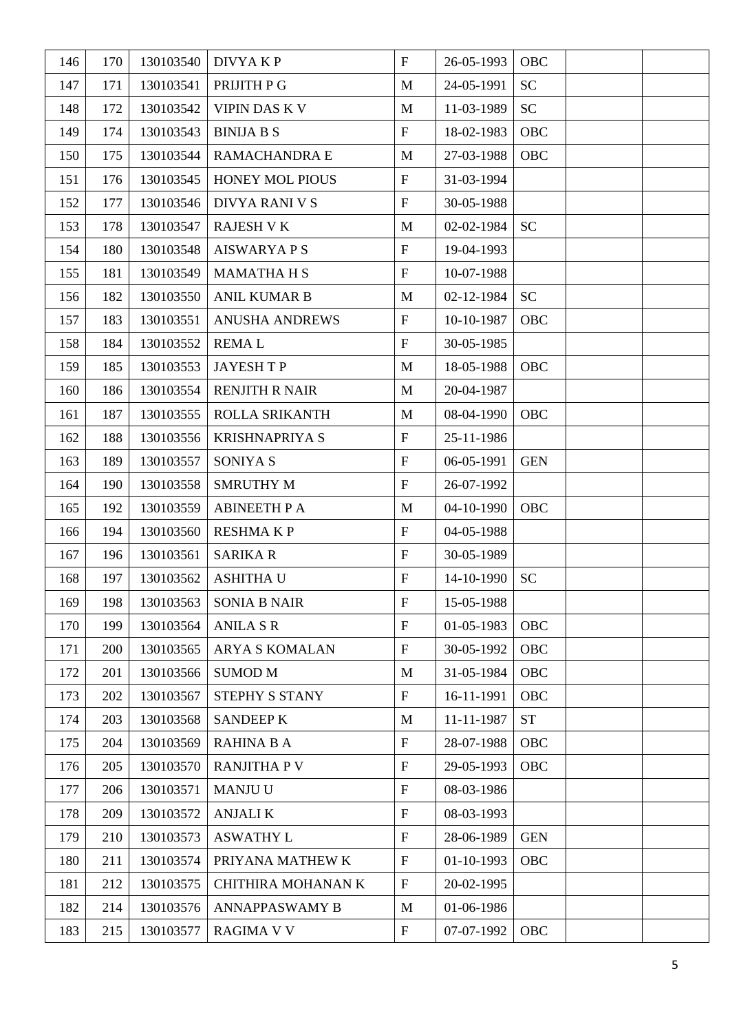| 146 | 170 | 130103540 | DIVYA K P             | $\boldsymbol{\mathrm{F}}$ | 26-05-1993 | OBC        |  |
|-----|-----|-----------|-----------------------|---------------------------|------------|------------|--|
| 147 | 171 | 130103541 | PRIJITH P G           | M                         | 24-05-1991 | <b>SC</b>  |  |
| 148 | 172 | 130103542 | <b>VIPIN DAS K V</b>  | $\mathbf{M}$              | 11-03-1989 | <b>SC</b>  |  |
| 149 | 174 | 130103543 | <b>BINIJA B S</b>     | $\boldsymbol{\mathrm{F}}$ | 18-02-1983 | OBC        |  |
| 150 | 175 | 130103544 | RAMACHANDRA E         | M                         | 27-03-1988 | OBC        |  |
| 151 | 176 | 130103545 | HONEY MOL PIOUS       | $\boldsymbol{\mathrm{F}}$ | 31-03-1994 |            |  |
| 152 | 177 | 130103546 | DIVYA RANI V S        | $\boldsymbol{\mathrm{F}}$ | 30-05-1988 |            |  |
| 153 | 178 | 130103547 | <b>RAJESH V K</b>     | M                         | 02-02-1984 | <b>SC</b>  |  |
| 154 | 180 | 130103548 | <b>AISWARYA P S</b>   | $\boldsymbol{\mathrm{F}}$ | 19-04-1993 |            |  |
| 155 | 181 | 130103549 | <b>MAMATHA H S</b>    | $\boldsymbol{\mathrm{F}}$ | 10-07-1988 |            |  |
| 156 | 182 | 130103550 | <b>ANIL KUMAR B</b>   | $\mathbf{M}$              | 02-12-1984 | <b>SC</b>  |  |
| 157 | 183 | 130103551 | <b>ANUSHA ANDREWS</b> | $\boldsymbol{\mathrm{F}}$ | 10-10-1987 | OBC        |  |
| 158 | 184 | 130103552 | <b>REMAL</b>          | $\boldsymbol{\mathrm{F}}$ | 30-05-1985 |            |  |
| 159 | 185 | 130103553 | <b>JAYESHTP</b>       | $\mathbf{M}$              | 18-05-1988 | OBC        |  |
| 160 | 186 | 130103554 | <b>RENJITH R NAIR</b> | M                         | 20-04-1987 |            |  |
| 161 | 187 | 130103555 | ROLLA SRIKANTH        | $\mathbf{M}$              | 08-04-1990 | OBC        |  |
| 162 | 188 | 130103556 | <b>KRISHNAPRIYA S</b> | $\boldsymbol{\mathrm{F}}$ | 25-11-1986 |            |  |
| 163 | 189 | 130103557 | SONIYA S              | $\boldsymbol{\mathrm{F}}$ | 06-05-1991 | <b>GEN</b> |  |
| 164 | 190 | 130103558 | <b>SMRUTHY M</b>      | $\boldsymbol{\mathrm{F}}$ | 26-07-1992 |            |  |
| 165 | 192 | 130103559 | <b>ABINEETH P A</b>   | M                         | 04-10-1990 | OBC        |  |
| 166 | 194 | 130103560 | <b>RESHMAKP</b>       | $\mathbf F$               | 04-05-1988 |            |  |
| 167 | 196 | 130103561 | <b>SARIKA R</b>       | $\mathbf F$               | 30-05-1989 |            |  |
| 168 | 197 | 130103562 | <b>ASHITHA U</b>      | $\boldsymbol{\mathrm{F}}$ | 14-10-1990 | <b>SC</b>  |  |
| 169 | 198 | 130103563 | <b>SONIA B NAIR</b>   | F                         | 15-05-1988 |            |  |
| 170 | 199 | 130103564 | <b>ANILA S R</b>      | $\mathbf{F}$              | 01-05-1983 | OBC        |  |
| 171 | 200 | 130103565 | <b>ARYA S KOMALAN</b> | $\boldsymbol{\mathrm{F}}$ | 30-05-1992 | OBC        |  |
| 172 | 201 | 130103566 | <b>SUMOD M</b>        | M                         | 31-05-1984 | OBC        |  |
| 173 | 202 | 130103567 | STEPHY S STANY        | $\boldsymbol{\mathrm{F}}$ | 16-11-1991 | OBC        |  |
| 174 | 203 | 130103568 | <b>SANDEEP K</b>      | $\mathbf{M}$              | 11-11-1987 | <b>ST</b>  |  |
| 175 | 204 | 130103569 | <b>RAHINA B A</b>     | $\boldsymbol{\mathrm{F}}$ | 28-07-1988 | OBC        |  |
| 176 | 205 | 130103570 | <b>RANJITHA P V</b>   | $\mathbf F$               | 29-05-1993 | OBC        |  |
| 177 | 206 | 130103571 | MANJU U               | $\boldsymbol{\mathrm{F}}$ | 08-03-1986 |            |  |
| 178 | 209 | 130103572 | <b>ANJALI K</b>       | $\boldsymbol{\mathrm{F}}$ | 08-03-1993 |            |  |
| 179 | 210 | 130103573 | <b>ASWATHY L</b>      | $\boldsymbol{\mathrm{F}}$ | 28-06-1989 | <b>GEN</b> |  |
| 180 | 211 | 130103574 | PRIYANA MATHEW K      | $\boldsymbol{\mathrm{F}}$ | 01-10-1993 | OBC        |  |
| 181 | 212 | 130103575 | CHITHIRA MOHANAN K    | $\boldsymbol{\mathrm{F}}$ | 20-02-1995 |            |  |
| 182 | 214 | 130103576 | <b>ANNAPPASWAMY B</b> | M                         | 01-06-1986 |            |  |
| 183 | 215 | 130103577 | <b>RAGIMA V V</b>     | ${\bf F}$                 | 07-07-1992 | OBC        |  |